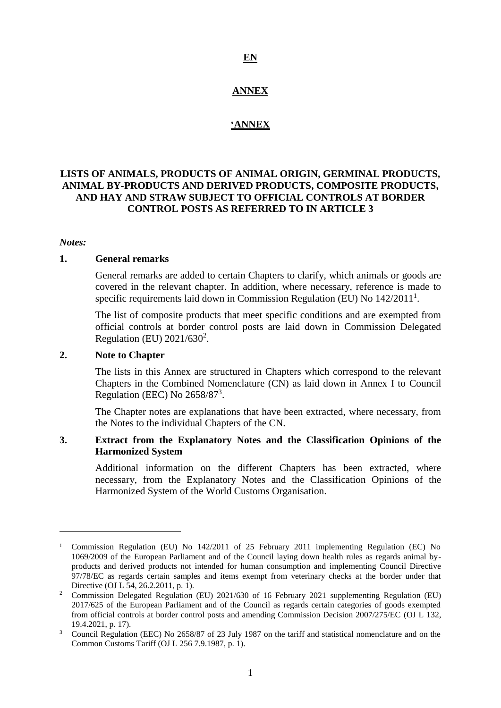#### **EN**

#### **ANNEX**

#### **'ANNEX**

### **LISTS OF ANIMALS, PRODUCTS OF ANIMAL ORIGIN, GERMINAL PRODUCTS, ANIMAL BY-PRODUCTS AND DERIVED PRODUCTS, COMPOSITE PRODUCTS, AND HAY AND STRAW SUBJECT TO OFFICIAL CONTROLS AT BORDER CONTROL POSTS AS REFERRED TO IN ARTICLE 3**

#### *Notes:*

1

#### **1. General remarks**

General remarks are added to certain Chapters to clarify, which animals or goods are covered in the relevant chapter. In addition, where necessary, reference is made to specific requirements laid down in Commission Regulation (EU) No  $142/2011<sup>1</sup>$ .

The list of composite products that meet specific conditions and are exempted from official controls at border control posts are laid down in Commission Delegated Regulation (EU)  $2021/630^2$ .

#### **2. Note to Chapter**

The lists in this Annex are structured in Chapters which correspond to the relevant Chapters in the Combined Nomenclature (CN) as laid down in Annex I to Council Regulation (EEC) No 2658/87<sup>3</sup>.

The Chapter notes are explanations that have been extracted, where necessary, from the Notes to the individual Chapters of the CN.

### **3. Extract from the Explanatory Notes and the Classification Opinions of the Harmonized System**

Additional information on the different Chapters has been extracted, where necessary, from the Explanatory Notes and the Classification Opinions of the Harmonized System of the World Customs Organisation.

<sup>1</sup> Commission Regulation (EU) No 142/2011 of 25 February 2011 implementing Regulation (EC) No 1069/2009 of the European Parliament and of the Council laying down health rules as regards animal byproducts and derived products not intended for human consumption and implementing Council Directive 97/78/EC as regards certain samples and items exempt from veterinary checks at the border under that Directive (OJ L 54, 26.2.2011, p. 1).

<sup>&</sup>lt;sup>2</sup> Commission Delegated Regulation (EU) 2021/630 of 16 February 2021 supplementing Regulation (EU) 2017/625 of the European Parliament and of the Council as regards certain categories of goods exempted from official controls at border control posts and amending Commission Decision 2007/275/EC (OJ L 132, 19.4.2021, p. 17).

<sup>3</sup> Council Regulation (EEC) No 2658/87 of 23 July 1987 on the tariff and statistical nomenclature and on the Common Customs Tariff (OJ L 256 7.9.1987, p. 1).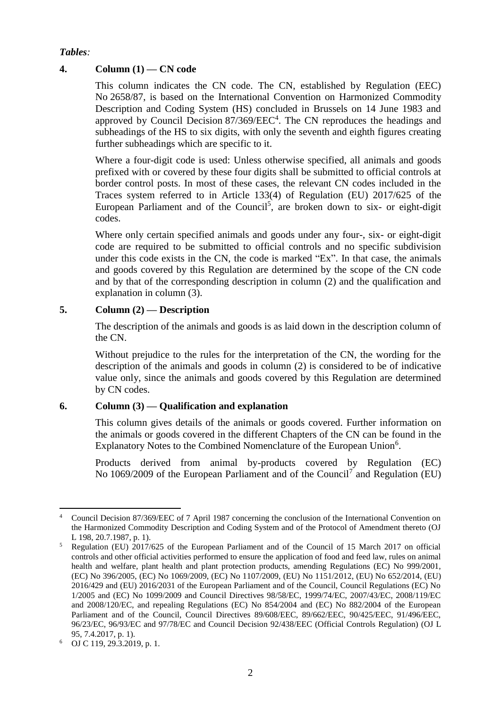### *Tables:*

### **4. Column (1) — CN code**

This column indicates the CN code. The CN, established by Regulation (EEC) No 2658/87, is based on the International Convention on Harmonized Commodity Description and Coding System (HS) concluded in Brussels on 14 June 1983 and approved by Council Decision  $87/369/EEC<sup>4</sup>$ . The CN reproduces the headings and subheadings of the HS to six digits, with only the seventh and eighth figures creating further subheadings which are specific to it.

Where a four-digit code is used: Unless otherwise specified, all animals and goods prefixed with or covered by these four digits shall be submitted to official controls at border control posts. In most of these cases, the relevant CN codes included in the Traces system referred to in Article 133(4) of Regulation (EU) 2017/625 of the European Parliament and of the Council<sup>5</sup>, are broken down to six- or eight-digit codes.

Where only certain specified animals and goods under any four-, six- or eight-digit code are required to be submitted to official controls and no specific subdivision under this code exists in the CN, the code is marked "Ex". In that case, the animals and goods covered by this Regulation are determined by the scope of the CN code and by that of the corresponding description in column (2) and the qualification and explanation in column (3).

### **5. Column (2) — Description**

The description of the animals and goods is as laid down in the description column of the CN.

Without prejudice to the rules for the interpretation of the CN, the wording for the description of the animals and goods in column (2) is considered to be of indicative value only, since the animals and goods covered by this Regulation are determined by CN codes.

### **6. Column (3) — Qualification and explanation**

This column gives details of the animals or goods covered. Further information on the animals or goods covered in the different Chapters of the CN can be found in the Explanatory Notes to the Combined Nomenclature of the European Union<sup>6</sup>.

Products derived from animal by-products covered by Regulation (EC) No 1069/2009 of the European Parliament and of the Council<sup>7</sup> and Regulation (EU)

1

Council Decision 87/369/EEC of 7 April 1987 concerning the conclusion of the International Convention on the Harmonized Commodity Description and Coding System and of the Protocol of Amendment thereto (OJ L 198, 20.7.1987, p. 1).

<sup>5</sup> Regulation (EU) 2017/625 of the European Parliament and of the Council of 15 March 2017 on official controls and other official activities performed to ensure the application of food and feed law, rules on animal health and welfare, plant health and plant protection products, amending Regulations (EC) No 999/2001, (EC) No 396/2005, (EC) No 1069/2009, (EC) No 1107/2009, (EU) No 1151/2012, (EU) No 652/2014, (EU) 2016/429 and (EU) 2016/2031 of the European Parliament and of the Council, Council Regulations (EC) No 1/2005 and (EC) No 1099/2009 and Council Directives 98/58/EC, 1999/74/EC, 2007/43/EC, 2008/119/EC and 2008/120/EC, and repealing Regulations (EC) No 854/2004 and (EC) No 882/2004 of the European Parliament and of the Council, Council Directives 89/608/EEC, 89/662/EEC, 90/425/EEC, 91/496/EEC, 96/23/EC, 96/93/EC and 97/78/EC and Council Decision 92/438/EEC (Official Controls Regulation) (OJ L 95, 7.4.2017, p. 1).

 $6$  OJ C 119, 29, 3, 2019, p. 1.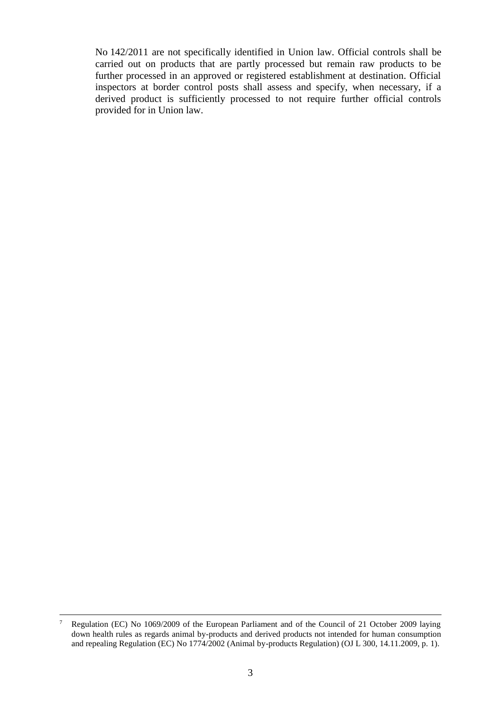No 142/2011 are not specifically identified in Union law. Official controls shall be carried out on products that are partly processed but remain raw products to be further processed in an approved or registered establishment at destination. Official inspectors at border control posts shall assess and specify, when necessary, if a derived product is sufficiently processed to not require further official controls provided for in Union law.

 $\overline{7}$ <sup>7</sup> Regulation (EC) No 1069/2009 of the European Parliament and of the Council of 21 October 2009 laying down health rules as regards animal by-products and derived products not intended for human consumption and repealing Regulation (EC) No 1774/2002 (Animal by-products Regulation) (OJ L 300, 14.11.2009, p. 1).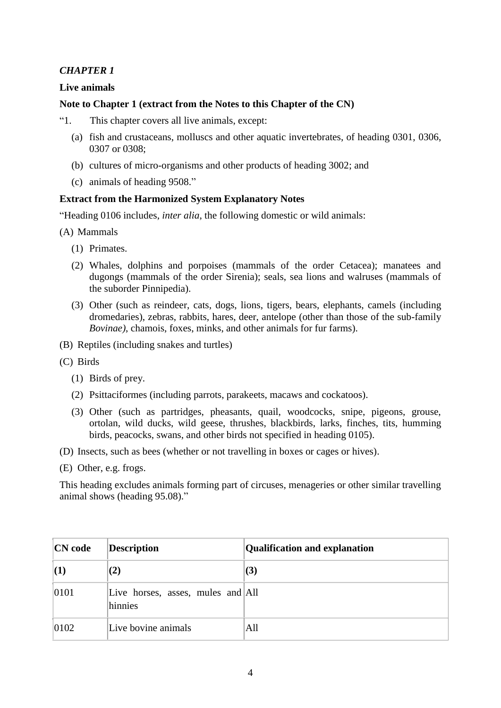### **Live animals**

### **Note to Chapter 1 (extract from the Notes to this Chapter of the CN)**

"1. This chapter covers all live animals, except:

- (a) fish and crustaceans, molluscs and other aquatic invertebrates, of heading 0301, 0306, 0307 or 0308;
- (b) cultures of micro-organisms and other products of heading 3002; and
- (c) animals of heading 9508."

### **Extract from the Harmonized System Explanatory Notes**

"Heading 0106 includes, *inter alia*, the following domestic or wild animals:

- (A) Mammals
	- (1) Primates.
	- (2) Whales, dolphins and porpoises (mammals of the order Cetacea); manatees and dugongs (mammals of the order Sirenia); seals, sea lions and walruses (mammals of the suborder Pinnipedia).
	- (3) Other (such as reindeer, cats, dogs, lions, tigers, bears, elephants, camels (including dromedaries), zebras, rabbits, hares, deer, antelope (other than those of the sub-family *Bovinae)*, chamois, foxes, minks, and other animals for fur farms).
- (B) Reptiles (including snakes and turtles)
- (C) Birds
	- (1) Birds of prey.
	- (2) Psittaciformes (including parrots, parakeets, macaws and cockatoos).
	- (3) Other (such as partridges, pheasants, quail, woodcocks, snipe, pigeons, grouse, ortolan, wild ducks, wild geese, thrushes, blackbirds, larks, finches, tits, humming birds, peacocks, swans, and other birds not specified in heading 0105).
- (D) Insects, such as bees (whether or not travelling in boxes or cages or hives).
- (E) Other, e.g. frogs.

This heading excludes animals forming part of circuses, menageries or other similar travelling animal shows (heading 95.08)."

| <b>CN</b> code | <b>Description</b>                           | Qualification and explanation |
|----------------|----------------------------------------------|-------------------------------|
| $\vert(1)$     | (2)                                          | (3)                           |
| 0101           | Live horses, asses, mules and All<br>hinnies |                               |
| 0102           | Live bovine animals                          | All                           |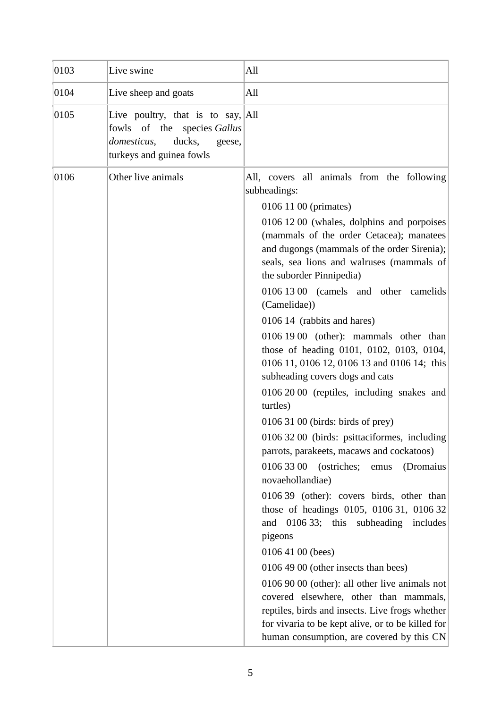| 0103 | Live swine                                                                                                                         | All                                                                                                                                                                                                                                                                                                                                                                                                                                                                                                                                                                                                                                                                                                                                                                                                                                                                                                                                                                                                                                                                                                                                                                                                                                                                                            |
|------|------------------------------------------------------------------------------------------------------------------------------------|------------------------------------------------------------------------------------------------------------------------------------------------------------------------------------------------------------------------------------------------------------------------------------------------------------------------------------------------------------------------------------------------------------------------------------------------------------------------------------------------------------------------------------------------------------------------------------------------------------------------------------------------------------------------------------------------------------------------------------------------------------------------------------------------------------------------------------------------------------------------------------------------------------------------------------------------------------------------------------------------------------------------------------------------------------------------------------------------------------------------------------------------------------------------------------------------------------------------------------------------------------------------------------------------|
| 0104 | Live sheep and goats                                                                                                               | All                                                                                                                                                                                                                                                                                                                                                                                                                                                                                                                                                                                                                                                                                                                                                                                                                                                                                                                                                                                                                                                                                                                                                                                                                                                                                            |
| 0105 | Live poultry, that is to say, $ All$<br>fowls of the species Gallus<br>domesticus,<br>ducks,<br>geese,<br>turkeys and guinea fowls |                                                                                                                                                                                                                                                                                                                                                                                                                                                                                                                                                                                                                                                                                                                                                                                                                                                                                                                                                                                                                                                                                                                                                                                                                                                                                                |
| 0106 | Other live animals                                                                                                                 | All, covers all animals from the following<br>subheadings:<br>0106 11 00 (primates)<br>0106 12 00 (whales, dolphins and porpoises<br>(mammals of the order Cetacea); manatees<br>and dugongs (mammals of the order Sirenia);<br>seals, sea lions and walruses (mammals of<br>the suborder Pinnipedia)<br>0106 13 00 (camels and other camelids<br>(Camelidae))<br>0106 14 (rabbits and hares)<br>0106 19 00 (other): mammals other than<br>those of heading 0101, 0102, 0103, 0104,<br>0106 11, 0106 12, 0106 13 and 0106 14; this<br>subheading covers dogs and cats<br>0106 20 00 (reptiles, including snakes and<br>turtles)<br>$01063100$ (birds: birds of prey)<br>0106 32 00 (birds: psittaciformes, including<br>parrots, parakeets, macaws and cockatoos)<br>0106 33 00<br>(ostriches; emus<br>(Dromaius<br>novaehollandiae)<br>010639 (other): covers birds, other than<br>those of headings 0105, 0106 31, 0106 32<br>and 0106 33; this subheading includes<br>pigeons<br>0106 41 00 (bees)<br>0106 49 00 (other insects than bees)<br>0106 90 00 (other): all other live animals not<br>covered elsewhere, other than mammals,<br>reptiles, birds and insects. Live frogs whether<br>for vivaria to be kept alive, or to be killed for<br>human consumption, are covered by this CN |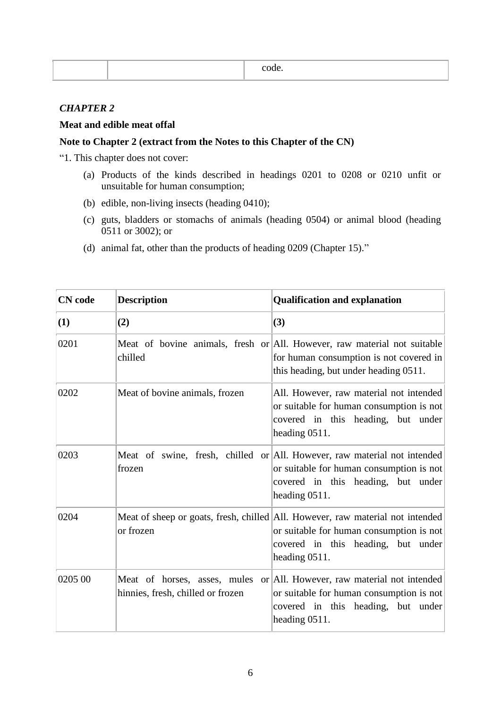### **Meat and edible meat offal**

### **Note to Chapter 2 (extract from the Notes to this Chapter of the CN)**

"1. This chapter does not cover:

- (a) Products of the kinds described in headings 0201 to 0208 or 0210 unfit or unsuitable for human consumption;
- (b) edible, non-living insects (heading 0410);
- (c) guts, bladders or stomachs of animals (heading 0504) or animal blood (heading 0511 or 3002); or
- (d) animal fat, other than the products of heading 0209 (Chapter 15)."

| <b>CN</b> code | <b>Description</b>                                                | <b>Qualification and explanation</b>                                                                                                                                              |
|----------------|-------------------------------------------------------------------|-----------------------------------------------------------------------------------------------------------------------------------------------------------------------------------|
| (1)            | (2)                                                               | (3)                                                                                                                                                                               |
| 0201           | chilled                                                           | Meat of bovine animals, fresh or All. However, raw material not suitable<br>for human consumption is not covered in<br>this heading, but under heading 0511.                      |
| 0202           | Meat of bovine animals, frozen                                    | All. However, raw material not intended<br>or suitable for human consumption is not<br>covered in this heading, but under<br>heading 0511.                                        |
| 0203           | frozen                                                            | Meat of swine, fresh, chilled or All. However, raw material not intended<br>or suitable for human consumption is not<br>covered in this heading, but under<br>heading 0511.       |
| 0204           | or frozen                                                         | Meat of sheep or goats, fresh, chilled All. However, raw material not intended<br>or suitable for human consumption is not<br>covered in this heading, but under<br>heading 0511. |
| 0205 00        | Meat of horses, asses, mules<br>hinnies, fresh, chilled or frozen | or All. However, raw material not intended<br>or suitable for human consumption is not<br>covered in this heading, but under<br>heading $0511$ .                                  |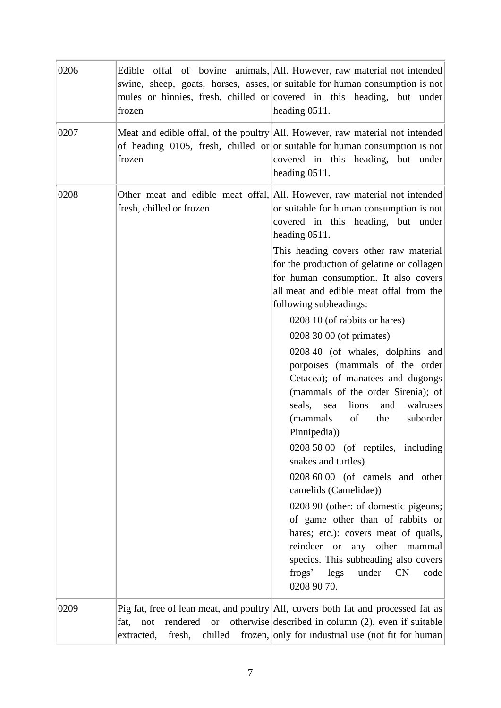| 0206 | Edible<br>frozen                                                        | offal of bovine animals, All. However, raw material not intended<br>swine, sheep, goats, horses, asses, or suitable for human consumption is not<br>mules or hinnies, fresh, chilled or covered in this heading, but under<br>heading 0511.                                                                                                                                                                                                                                                                                                                                                                                                                                                                                                                                                                                                                                                                                                                                                                                                                                    |
|------|-------------------------------------------------------------------------|--------------------------------------------------------------------------------------------------------------------------------------------------------------------------------------------------------------------------------------------------------------------------------------------------------------------------------------------------------------------------------------------------------------------------------------------------------------------------------------------------------------------------------------------------------------------------------------------------------------------------------------------------------------------------------------------------------------------------------------------------------------------------------------------------------------------------------------------------------------------------------------------------------------------------------------------------------------------------------------------------------------------------------------------------------------------------------|
| 0207 | frozen                                                                  | Meat and edible offal, of the poultry All. However, raw material not intended<br>of heading 0105, fresh, chilled or or suitable for human consumption is not<br>covered in this heading, but under<br>heading 0511.                                                                                                                                                                                                                                                                                                                                                                                                                                                                                                                                                                                                                                                                                                                                                                                                                                                            |
| 0208 | fresh, chilled or frozen                                                | Other meat and edible meat offal, All. However, raw material not intended<br>or suitable for human consumption is not<br>covered in this heading, but under<br>heading 0511.<br>This heading covers other raw material<br>for the production of gelatine or collagen<br>for human consumption. It also covers<br>all meat and edible meat offal from the<br>following subheadings:<br>0208 10 (of rabbits or hares)<br>0208 30 00 (of primates)<br>0208 40 (of whales, dolphins and<br>porpoises (mammals of the order<br>Cetacea); of manatees and dugongs<br>(mammals of the order Sirenia); of<br>seals,<br>lions<br>and<br>walruses<br>sea<br>of<br>(mammals)<br>the<br>suborder<br>Pinnipedia))<br>0208 50 00 (of reptiles, including<br>snakes and turtles)<br>0208 60 00 (of camels and other<br>camelids (Camelidae))<br>0208 90 (other: of domestic pigeons;<br>of game other than of rabbits or<br>hares; etc.): covers meat of quails,<br>reindeer or any other mammal<br>species. This subheading also covers<br>frogs' legs<br>under<br>CN<br>code<br>0208 90 70. |
| 0209 | rendered<br>fat,<br>not<br><b>or</b><br>chilled<br>extracted,<br>fresh, | Pig fat, free of lean meat, and poultry $\vert$ All, covers both fat and processed fat as<br>otherwise described in column $(2)$ , even if suitable<br>frozen, only for industrial use (not fit for human                                                                                                                                                                                                                                                                                                                                                                                                                                                                                                                                                                                                                                                                                                                                                                                                                                                                      |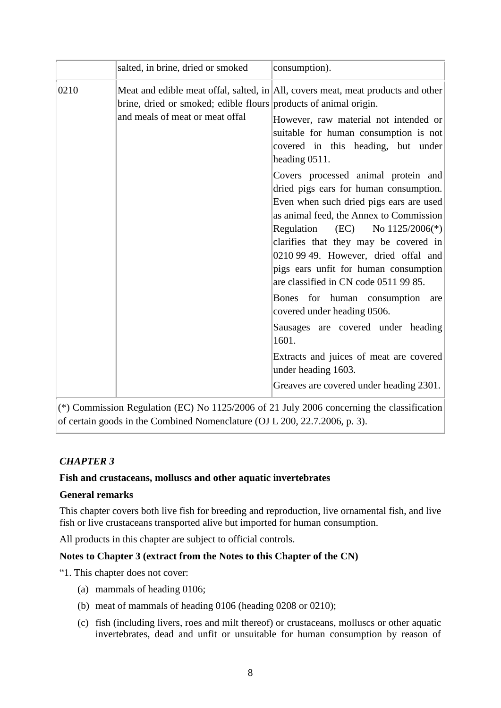|      | salted, in brine, dried or smoked                                | consumption).                                                                                                                                                                                                                                                                                                                                                                  |
|------|------------------------------------------------------------------|--------------------------------------------------------------------------------------------------------------------------------------------------------------------------------------------------------------------------------------------------------------------------------------------------------------------------------------------------------------------------------|
| 0210 | brine, dried or smoked; edible flours products of animal origin. | Meat and edible meat offal, salted, in All, covers meat, meat products and other                                                                                                                                                                                                                                                                                               |
|      | and meals of meat or meat offal                                  | However, raw material not intended or<br>suitable for human consumption is not<br>covered in this heading, but under<br>heading 0511.                                                                                                                                                                                                                                          |
|      |                                                                  | Covers processed animal protein and<br>dried pigs ears for human consumption.<br>Even when such dried pigs ears are used<br>as animal feed, the Annex to Commission<br>Regulation<br>$(EC)$ No 1125/2006(*)<br>clarifies that they may be covered in<br>0210 99 49. However, dried offal and<br>pigs ears unfit for human consumption<br>are classified in CN code 0511 99 85. |
|      |                                                                  | Bones for human consumption<br>are<br>covered under heading 0506.                                                                                                                                                                                                                                                                                                              |
|      |                                                                  | Sausages are covered under heading<br>1601.                                                                                                                                                                                                                                                                                                                                    |
|      |                                                                  | Extracts and juices of meat are covered<br>under heading 1603.                                                                                                                                                                                                                                                                                                                 |
|      |                                                                  | Greaves are covered under heading 2301.                                                                                                                                                                                                                                                                                                                                        |

 $\ket{\psi}$  Commission Regulation (EC) No 1125/2006 of 21 July 2006 concerning the classification of certain goods in the Combined Nomenclature (OJ L 200, 22.7.2006, p. 3).

# *CHAPTER 3*

### **Fish and crustaceans, molluscs and other aquatic invertebrates**

#### **General remarks**

This chapter covers both live fish for breeding and reproduction, live ornamental fish, and live fish or live crustaceans transported alive but imported for human consumption.

All products in this chapter are subject to official controls.

### **Notes to Chapter 3 (extract from the Notes to this Chapter of the CN)**

"1. This chapter does not cover:

- (a) mammals of heading 0106;
- (b) meat of mammals of heading 0106 (heading 0208 or 0210);
- (c) fish (including livers, roes and milt thereof) or crustaceans, molluscs or other aquatic invertebrates, dead and unfit or unsuitable for human consumption by reason of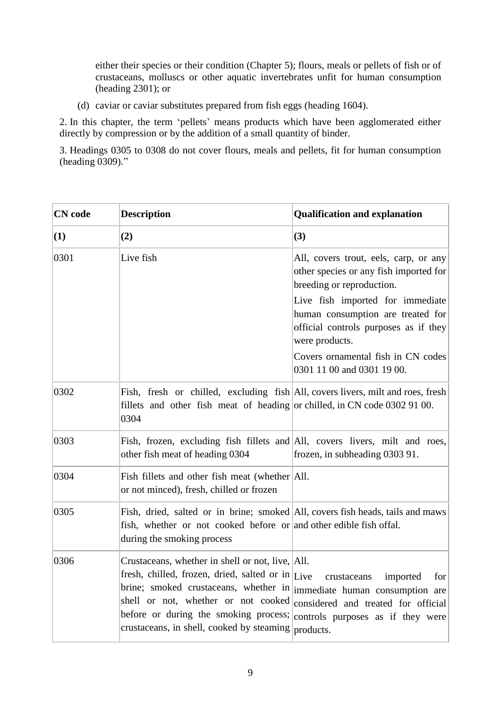either their species or their condition (Chapter 5); flours, meals or pellets of fish or of crustaceans, molluscs or other aquatic invertebrates unfit for human consumption (heading 2301); or

(d) caviar or caviar substitutes prepared from fish eggs (heading 1604).

2. In this chapter, the term 'pellets' means products which have been agglomerated either directly by compression or by the addition of a small quantity of binder.

3. Headings 0305 to 0308 do not cover flours, meals and pellets, fit for human consumption (heading 0309)."

| <b>CN</b> code | <b>Description</b>                                                                                                                                                                                                                                                                                                                                                                         | <b>Qualification and explanation</b>                                                                                             |
|----------------|--------------------------------------------------------------------------------------------------------------------------------------------------------------------------------------------------------------------------------------------------------------------------------------------------------------------------------------------------------------------------------------------|----------------------------------------------------------------------------------------------------------------------------------|
| (1)            | (2)                                                                                                                                                                                                                                                                                                                                                                                        | (3)                                                                                                                              |
| 0301           | Live fish                                                                                                                                                                                                                                                                                                                                                                                  | All, covers trout, eels, carp, or any<br>other species or any fish imported for<br>breeding or reproduction.                     |
|                |                                                                                                                                                                                                                                                                                                                                                                                            | Live fish imported for immediate<br>human consumption are treated for<br>official controls purposes as if they<br>were products. |
|                |                                                                                                                                                                                                                                                                                                                                                                                            | Covers ornamental fish in CN codes<br>0301 11 00 and 0301 19 00.                                                                 |
| 0302           | Fish, fresh or chilled, excluding fish All, covers livers, milt and roes, fresh<br>fillets and other fish meat of heading or chilled, in CN code 0302 91 00.<br>0304                                                                                                                                                                                                                       |                                                                                                                                  |
| 0303           | Fish, frozen, excluding fish fillets and All, covers livers, milt and roes,<br>other fish meat of heading 0304                                                                                                                                                                                                                                                                             | frozen, in subheading 0303 91.                                                                                                   |
| 0304           | Fish fillets and other fish meat (whether All.<br>or not minced), fresh, chilled or frozen                                                                                                                                                                                                                                                                                                 |                                                                                                                                  |
| 0305           | Fish, dried, salted or in brine; smoked All, covers fish heads, tails and maws<br>fish, whether or not cooked before or and other edible fish offal.<br>during the smoking process                                                                                                                                                                                                         |                                                                                                                                  |
| 0306           | Crustaceans, whether in shell or not, live, All.<br>fresh, chilled, frozen, dried, salted or in Live<br>brine; smoked crustaceans, whether in immediate human consumption are<br>shell or not, whether or not cooked considered and treated for official<br>before or during the smoking process; controls purposes as if they were<br>crustaceans, in shell, cooked by steaming products. | crustaceans<br>imported<br>for                                                                                                   |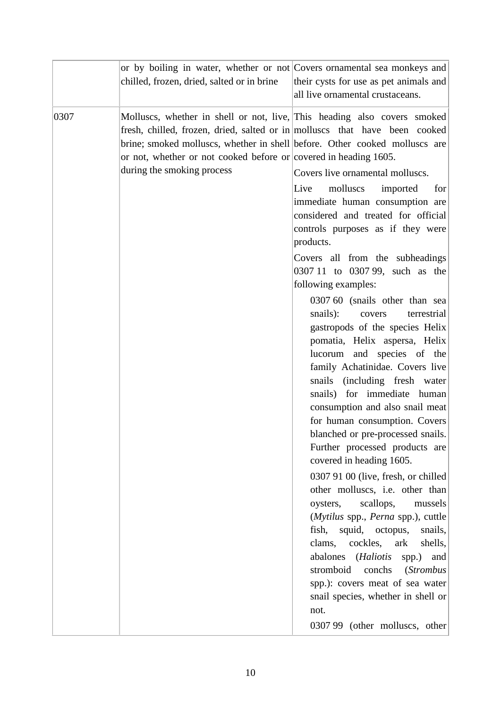| chilled, frozen, dried, salted or in brine                                                                | or by boiling in water, whether or not Covers ornamental sea monkeys and<br>their cysts for use as pet animals and<br>all live ornamental crustaceans.                                                                                                                                                                                                                                                                                                                                                                                                                                                                                                                                                                                                                                                                                                                                                                                                                                                                                                                                                                                                                                                                                                                                                                                                                                                              |
|-----------------------------------------------------------------------------------------------------------|---------------------------------------------------------------------------------------------------------------------------------------------------------------------------------------------------------------------------------------------------------------------------------------------------------------------------------------------------------------------------------------------------------------------------------------------------------------------------------------------------------------------------------------------------------------------------------------------------------------------------------------------------------------------------------------------------------------------------------------------------------------------------------------------------------------------------------------------------------------------------------------------------------------------------------------------------------------------------------------------------------------------------------------------------------------------------------------------------------------------------------------------------------------------------------------------------------------------------------------------------------------------------------------------------------------------------------------------------------------------------------------------------------------------|
| 0307<br>or not, whether or not cooked before or covered in heading $1605$ .<br>during the smoking process | Molluscs, whether in shell or not, live, This heading also covers smoked<br>fresh, chilled, frozen, dried, salted or in molluscs that have been cooked<br>brine; smoked molluscs, whether in shell before. Other cooked molluscs are<br>Covers live ornamental molluscs.<br>Live<br>molluscs<br>imported<br>for<br>immediate human consumption are<br>considered and treated for official<br>controls purposes as if they were<br>products.<br>Covers all from the subheadings<br>0307 11 to 0307 99, such as the<br>following examples:<br>0307 60 (snails other than sea<br>snails):<br>terrestrial<br>covers<br>gastropods of the species Helix<br>pomatia, Helix aspersa, Helix<br>lucorum and species of the<br>family Achatinidae. Covers live<br>snails (including fresh water<br>snails) for immediate human<br>consumption and also snail meat<br>for human consumption. Covers<br>blanched or pre-processed snails.<br>Further processed products are<br>covered in heading 1605.<br>0307 91 00 (live, fresh, or chilled<br>other molluscs, i.e. other than<br>scallops,<br>oysters,<br>mussels<br>(Mytilus spp., Perna spp.), cuttle<br>fish, squid, octopus,<br>snails,<br>clams, cockles, ark<br>shells,<br>abalones (Haliotis spp.) and<br>stromboid<br>conchs<br><i>(Strombus</i><br>spp.): covers meat of sea water<br>snail species, whether in shell or<br>not.<br>0307 99 (other molluscs, other |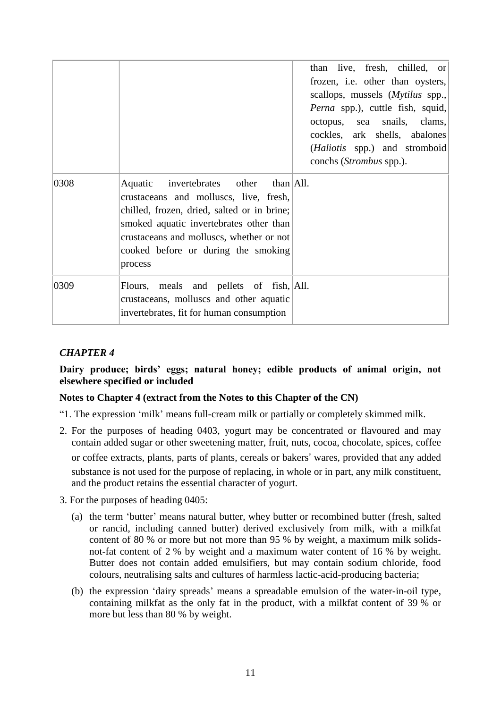|      |                                                                                                                                                                                                                                                                         | than live, fresh, chilled, or<br>frozen, i.e. other than oysters,<br>scallops, mussels ( <i>Mytilus</i> spp.,<br>Perna spp.), cuttle fish, squid,<br>octopus, sea snails, clams,<br>cockles, ark shells, abalones<br>( <i>Haliotis</i> spp.) and stromboid<br>conchs ( <i>Strombus</i> spp.). |
|------|-------------------------------------------------------------------------------------------------------------------------------------------------------------------------------------------------------------------------------------------------------------------------|-----------------------------------------------------------------------------------------------------------------------------------------------------------------------------------------------------------------------------------------------------------------------------------------------|
| 0308 | Aquatic invertebrates other than All.<br>crustaceans and molluscs, live, fresh,<br>chilled, frozen, dried, salted or in brine;<br>smoked aquatic invertebrates other than<br>crustaceans and molluscs, whether or not<br>cooked before or during the smoking<br>process |                                                                                                                                                                                                                                                                                               |
| 0309 | Flours, meals and pellets of fish, All.<br>crustaceans, molluscs and other aquatic<br>invertebrates, fit for human consumption                                                                                                                                          |                                                                                                                                                                                                                                                                                               |

**Dairy produce; birds' eggs; natural honey; edible products of animal origin, not elsewhere specified or included**

### **Notes to Chapter 4 (extract from the Notes to this Chapter of the CN)**

"1. The expression 'milk' means full-cream milk or partially or completely skimmed milk.

- 2. For the purposes of heading 0403, yogurt may be concentrated or flavoured and may contain added sugar or other sweetening matter, fruit, nuts, cocoa, chocolate, spices, coffee or coffee extracts, plants, parts of plants, cereals or bakers' wares, provided that any added substance is not used for the purpose of replacing, in whole or in part, any milk constituent, and the product retains the essential character of yogurt.
- 3. For the purposes of heading 0405:
	- (a) the term 'butter' means natural butter, whey butter or recombined butter (fresh, salted or rancid, including canned butter) derived exclusively from milk, with a milkfat content of 80 % or more but not more than 95 % by weight, a maximum milk solidsnot-fat content of 2 % by weight and a maximum water content of 16 % by weight. Butter does not contain added emulsifiers, but may contain sodium chloride, food colours, neutralising salts and cultures of harmless lactic-acid-producing bacteria;
	- (b) the expression 'dairy spreads' means a spreadable emulsion of the water-in-oil type, containing milkfat as the only fat in the product, with a milkfat content of 39 % or more but less than 80 % by weight.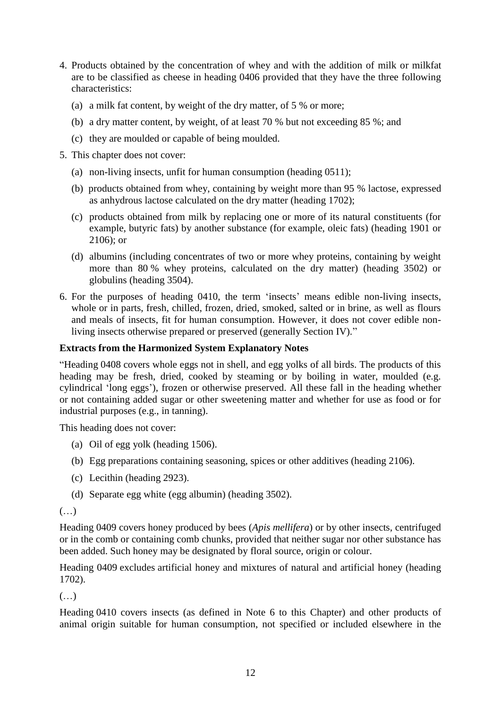- 4. Products obtained by the concentration of whey and with the addition of milk or milkfat are to be classified as cheese in heading 0406 provided that they have the three following characteristics:
	- (a) a milk fat content, by weight of the dry matter, of 5 % or more;
	- (b) a dry matter content, by weight, of at least 70 % but not exceeding 85 %; and
	- (c) they are moulded or capable of being moulded.
- 5. This chapter does not cover:
	- (a) non-living insects, unfit for human consumption (heading 0511);
	- (b) products obtained from whey, containing by weight more than 95 % lactose, expressed as anhydrous lactose calculated on the dry matter (heading 1702);
	- (c) products obtained from milk by replacing one or more of its natural constituents (for example, butyric fats) by another substance (for example, oleic fats) (heading 1901 or 2106); or
	- (d) albumins (including concentrates of two or more whey proteins, containing by weight more than 80 % whey proteins, calculated on the dry matter) (heading 3502) or globulins (heading 3504).
- 6. For the purposes of heading 0410, the term 'insects' means edible non-living insects, whole or in parts, fresh, chilled, frozen, dried, smoked, salted or in brine, as well as flours and meals of insects, fit for human consumption. However, it does not cover edible nonliving insects otherwise prepared or preserved (generally Section IV)."

### **Extracts from the Harmonized System Explanatory Notes**

"Heading 0408 covers whole eggs not in shell, and egg yolks of all birds. The products of this heading may be fresh, dried, cooked by steaming or by boiling in water, moulded (e.g. cylindrical 'long eggs'), frozen or otherwise preserved. All these fall in the heading whether or not containing added sugar or other sweetening matter and whether for use as food or for industrial purposes (e.g., in tanning).

This heading does not cover:

- (a) Oil of egg yolk (heading 1506).
- (b) Egg preparations containing seasoning, spices or other additives (heading 2106).
- (c) Lecithin (heading 2923).
- (d) Separate egg white (egg albumin) (heading 3502).

### (…)

Heading 0409 covers honey produced by bees (*Apis mellifera*) or by other insects, centrifuged or in the comb or containing comb chunks, provided that neither sugar nor other substance has been added. Such honey may be designated by floral source, origin or colour.

Heading 0409 excludes artificial honey and mixtures of natural and artificial honey (heading 1702).

 $(\ldots)$ 

Heading 0410 covers insects (as defined in Note 6 to this Chapter) and other products of animal origin suitable for human consumption, not specified or included elsewhere in the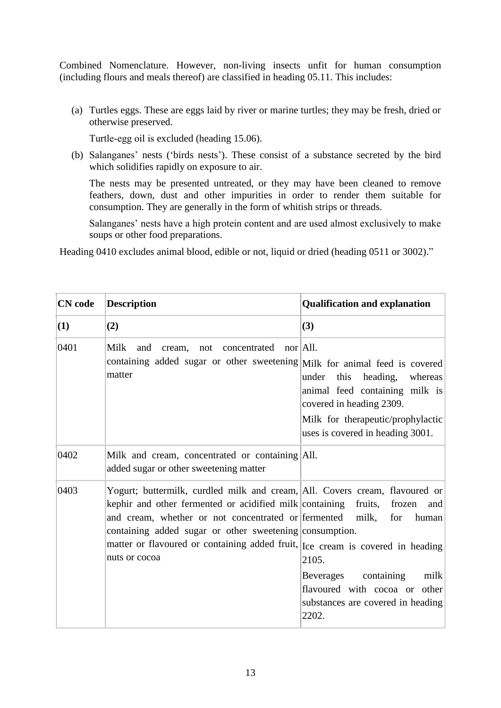Combined Nomenclature. However, non-living insects unfit for human consumption (including flours and meals thereof) are classified in heading 05.11. This includes:

(a) Turtles eggs. These are eggs laid by river or marine turtles; they may be fresh, dried or otherwise preserved.

Turtle‑egg oil is excluded (heading 15.06).

(b) Salanganes' nests ('birds nests'). These consist of a substance secreted by the bird which solidifies rapidly on exposure to air.

The nests may be presented untreated, or they may have been cleaned to remove feathers, down, dust and other impurities in order to render them suitable for consumption. They are generally in the form of whitish strips or threads.

Salanganes' nests have a high protein content and are used almost exclusively to make soups or other food preparations.

Heading 0410 excludes animal blood, edible or not, liquid or dried (heading 0511 or 3002)."

| <b>CN</b> code | <b>Description</b>                                                                                                                                                                                                                                                                                                                                          | <b>Qualification and explanation</b>                                                                                                                                        |
|----------------|-------------------------------------------------------------------------------------------------------------------------------------------------------------------------------------------------------------------------------------------------------------------------------------------------------------------------------------------------------------|-----------------------------------------------------------------------------------------------------------------------------------------------------------------------------|
| (1)            | (2)                                                                                                                                                                                                                                                                                                                                                         | (3)                                                                                                                                                                         |
| 0401           | $\vert$ nor $\vert$ All.<br>Milk<br>and<br>not concentrated<br>cream,<br>containing added sugar or other sweetening Milk for animal feed is covered<br>matter                                                                                                                                                                                               | under<br>this<br>heading,<br>whereas<br>animal feed containing milk is<br>covered in heading 2309.<br>Milk for therapeutic/prophylactic<br>uses is covered in heading 3001. |
| 0402           | Milk and cream, concentrated or containing All.<br>added sugar or other sweetening matter                                                                                                                                                                                                                                                                   |                                                                                                                                                                             |
| 0403           | Yogurt; buttermilk, curdled milk and cream, All. Covers cream, flavoured or<br>kephir and other fermented or acidified milk containing<br>and cream, whether or not concentrated or fermented<br>containing added sugar or other sweetening consumption.<br>matter or flavoured or containing added fruit, Ice cream is covered in heading<br>nuts or cocoa | fruits,<br>frozen<br>and  <br>milk,<br>for<br>human<br>2105.<br>Beverages containing<br>milk<br>flavoured with cocoa or other<br>substances are covered in heading<br>2202. |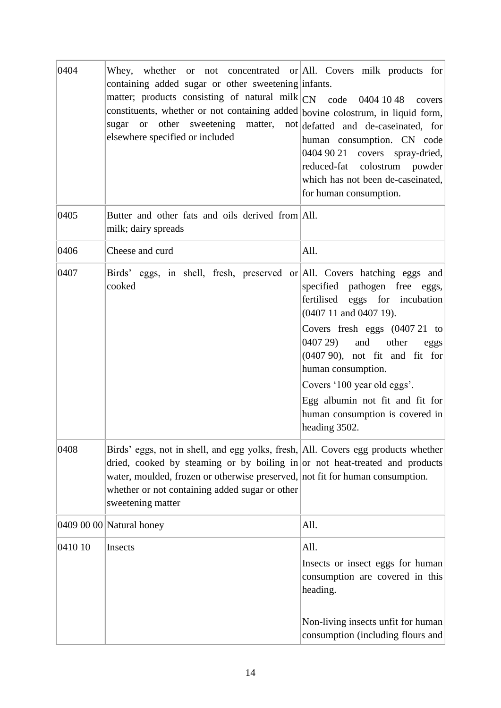| 0404    | Whey, whether or not concentrated or All. Covers milk products for<br>containing added sugar or other sweetening infants.<br>matter; products consisting of natural milk $ CN \quad code$<br>constituents, whether or not containing added bovine colostrum, in liquid form,<br>sugar or other sweetening<br>matter,<br>elsewhere specified or included | 0404 10 48<br>covers<br>not defatted and de-caseinated, for<br>human consumption. CN code<br>0404 90 21<br>covers spray-dried,<br>reduced-fat colostrum powder<br>which has not been de-caseinated,<br>for human consumption. |
|---------|---------------------------------------------------------------------------------------------------------------------------------------------------------------------------------------------------------------------------------------------------------------------------------------------------------------------------------------------------------|-------------------------------------------------------------------------------------------------------------------------------------------------------------------------------------------------------------------------------|
| 0405    | Butter and other fats and oils derived from All.<br>milk; dairy spreads                                                                                                                                                                                                                                                                                 |                                                                                                                                                                                                                               |
| 0406    | Cheese and curd                                                                                                                                                                                                                                                                                                                                         | All.                                                                                                                                                                                                                          |
| 0407    | Birds' eggs, in shell, fresh, preserved or All. Covers hatching eggs and<br>cooked                                                                                                                                                                                                                                                                      | specified pathogen free eggs,<br>fertilised eggs for incubation<br>(0407 11 and 0407 19).                                                                                                                                     |
|         |                                                                                                                                                                                                                                                                                                                                                         | Covers fresh eggs (0407 21 to<br>0407 29)<br>and<br>other<br>eggs<br>$(040790)$ , not fit and fit for<br>human consumption.                                                                                                   |
|         |                                                                                                                                                                                                                                                                                                                                                         | Covers '100 year old eggs'.<br>Egg albumin not fit and fit for<br>human consumption is covered in<br>heading 3502.                                                                                                            |
| 0408    | Birds' eggs, not in shell, and egg yolks, fresh, All. Covers egg products whether<br>dried, cooked by steaming or by boiling in or not heat-treated and products<br>water, moulded, frozen or otherwise preserved, not fit for human consumption.<br>whether or not containing added sugar or other<br>sweetening matter                                |                                                                                                                                                                                                                               |
|         | 0409 00 00 $\vert$ Natural honey                                                                                                                                                                                                                                                                                                                        | All.                                                                                                                                                                                                                          |
| 0410 10 | Insects                                                                                                                                                                                                                                                                                                                                                 | All.<br>Insects or insect eggs for human<br>consumption are covered in this<br>heading.                                                                                                                                       |
|         |                                                                                                                                                                                                                                                                                                                                                         | Non-living insects unfit for human<br>consumption (including flours and                                                                                                                                                       |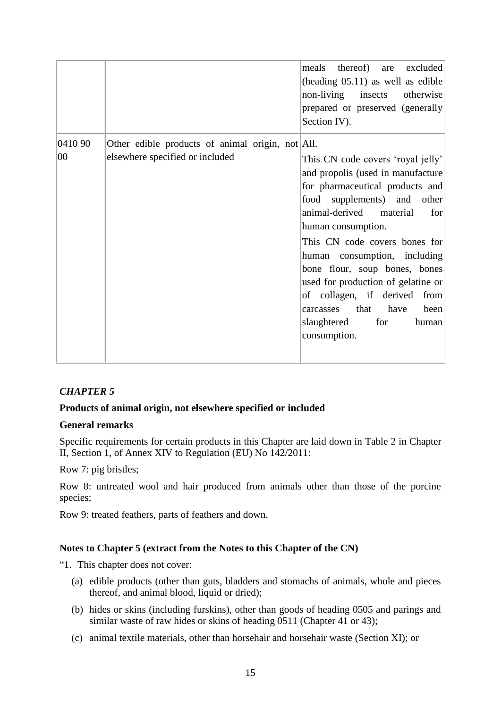|               |                                                                                     | meals thereof) are<br>excluded<br>(heading $05.11$ ) as well as edible<br>non-living insects otherwise<br>prepared or preserved (generally<br>Section IV).                                                                                                                                                                                                                                                                                                      |
|---------------|-------------------------------------------------------------------------------------|-----------------------------------------------------------------------------------------------------------------------------------------------------------------------------------------------------------------------------------------------------------------------------------------------------------------------------------------------------------------------------------------------------------------------------------------------------------------|
| 0410 90<br>00 | Other edible products of animal origin, not All.<br>elsewhere specified or included | This CN code covers 'royal jelly'<br>and propolis (used in manufacture<br>for pharmaceutical products and<br>food supplements) and other<br>animal-derived material<br>for<br>human consumption.<br>This CN code covers bones for<br>human consumption, including<br>bone flour, soup bones, bones<br>used for production of gelatine or<br>of collagen, if derived<br>from<br>that<br>have<br>carcasses<br>been<br>for<br>slaughtered<br>human<br>consumption. |

### **Products of animal origin, not elsewhere specified or included**

#### **General remarks**

Specific requirements for certain products in this Chapter are laid down in Table 2 in Chapter II, Section 1, of Annex XIV to Regulation (EU) No 142/2011:

Row 7: pig bristles;

Row 8: untreated wool and hair produced from animals other than those of the porcine species;

Row 9: treated feathers, parts of feathers and down.

#### **Notes to Chapter 5 (extract from the Notes to this Chapter of the CN)**

"1. This chapter does not cover:

- (a) edible products (other than guts, bladders and stomachs of animals, whole and pieces thereof, and animal blood, liquid or dried);
- (b) hides or skins (including furskins), other than goods of heading 0505 and parings and similar waste of raw hides or skins of heading 0511 (Chapter 41 or 43);
- (c) animal textile materials, other than horsehair and horsehair waste (Section XI); or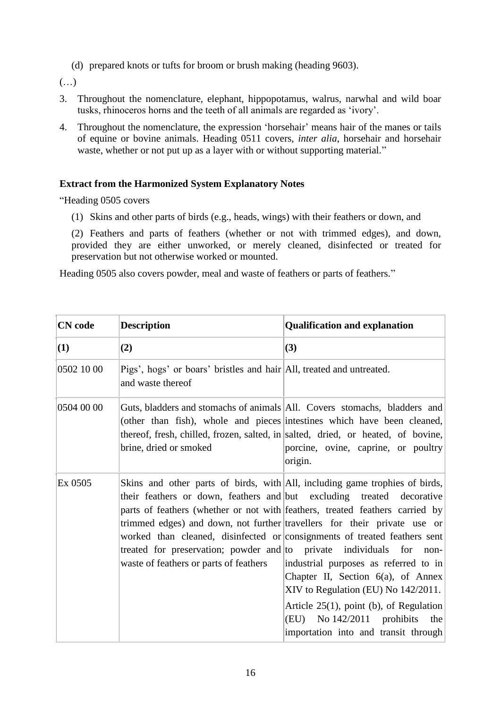(d) prepared knots or tufts for broom or brush making (heading 9603).

 $(\ldots)$ 

- 3. Throughout the nomenclature, elephant, hippopotamus, walrus, narwhal and wild boar tusks, rhinoceros horns and the teeth of all animals are regarded as 'ivory'.
- 4. Throughout the nomenclature, the expression 'horsehair' means hair of the manes or tails of equine or bovine animals. Heading 0511 covers, *inter alia*, horsehair and horsehair waste, whether or not put up as a layer with or without supporting material."

### **Extract from the Harmonized System Explanatory Notes**

"Heading 0505 covers

(1) Skins and other parts of birds (e.g., heads, wings) with their feathers or down, and

(2) Feathers and parts of feathers (whether or not with trimmed edges), and down, provided they are either unworked, or merely cleaned, disinfected or treated for preservation but not otherwise worked or mounted.

Heading 0505 also covers powder, meal and waste of feathers or parts of feathers."

| <b>CN</b> code | <b>Description</b>                                                                        | <b>Qualification and explanation</b>                                                                                                                                                                                                                                                                                                                                                                                                                                                                                                                                                                                                                                                                                           |
|----------------|-------------------------------------------------------------------------------------------|--------------------------------------------------------------------------------------------------------------------------------------------------------------------------------------------------------------------------------------------------------------------------------------------------------------------------------------------------------------------------------------------------------------------------------------------------------------------------------------------------------------------------------------------------------------------------------------------------------------------------------------------------------------------------------------------------------------------------------|
| (1)            | (2)                                                                                       | (3)                                                                                                                                                                                                                                                                                                                                                                                                                                                                                                                                                                                                                                                                                                                            |
| 0502 10 00     | Pigs', hogs' or boars' bristles and hair All, treated and untreated.<br>and waste thereof |                                                                                                                                                                                                                                                                                                                                                                                                                                                                                                                                                                                                                                                                                                                                |
| 0504 00 00     | brine, dried or smoked                                                                    | Guts, bladders and stomachs of animals All. Covers stomachs, bladders and<br>(other than fish), whole and pieces intestines which have been cleaned,<br>thereof, fresh, chilled, frozen, salted, in salted, dried, or heated, of bovine,<br>porcine, ovine, caprine, or poultry<br>origin.                                                                                                                                                                                                                                                                                                                                                                                                                                     |
| Ex 0505        | waste of feathers or parts of feathers                                                    | Skins and other parts of birds, with All, including game trophies of birds,<br>their feathers or down, feathers and but excluding treated decorative<br>parts of feathers (whether or not with feathers, treated feathers carried by<br>trimmed edges) and down, not further travellers for their private use or<br>worked than cleaned, disinfected or consignments of treated feathers sent<br>treated for preservation; powder and to private individuals for non-<br>industrial purposes as referred to in<br>Chapter II, Section $6(a)$ , of Annex<br>XIV to Regulation (EU) No $142/2011$ .<br>Article $25(1)$ , point (b), of Regulation<br>$(EU)$ No 142/2011 prohibits<br>the<br>importation into and transit through |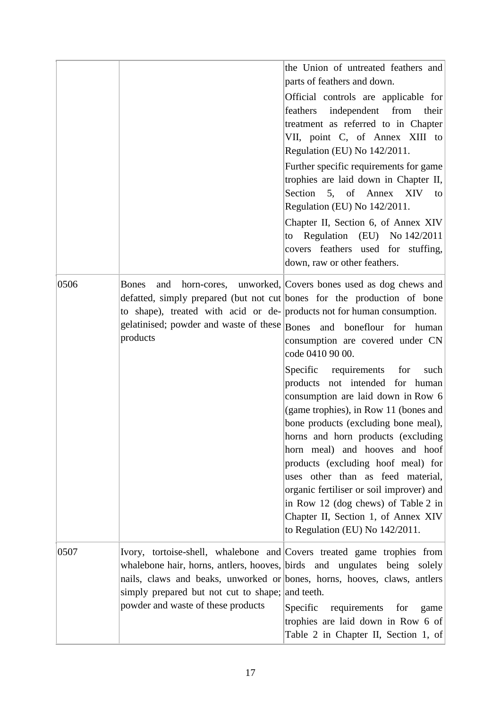|      |                                                                                                                                                                                                                                                                                                                          | the Union of untreated feathers and<br>parts of feathers and down.<br>Official controls are applicable for<br>feathers independent from<br>their<br>treatment as referred to in Chapter<br>VII, point C, of Annex XIII to<br>Regulation (EU) No 142/2011.<br>Further specific requirements for game<br>trophies are laid down in Chapter II,<br>Section 5, of Annex XIV<br>to<br>Regulation (EU) No 142/2011.<br>Chapter II, Section 6, of Annex XIV<br>to Regulation (EU) No $142/2011$<br>covers feathers used for stuffing,<br>down, raw or other feathers.                                                                                                                                                    |
|------|--------------------------------------------------------------------------------------------------------------------------------------------------------------------------------------------------------------------------------------------------------------------------------------------------------------------------|-------------------------------------------------------------------------------------------------------------------------------------------------------------------------------------------------------------------------------------------------------------------------------------------------------------------------------------------------------------------------------------------------------------------------------------------------------------------------------------------------------------------------------------------------------------------------------------------------------------------------------------------------------------------------------------------------------------------|
| 0506 | <b>Bones</b><br>defatted, simply prepared (but not cut bones for the production of bone<br>to shape), treated with acid or de- products not for human consumption.<br>products                                                                                                                                           | and horn-cores, unworked, Covers bones used as dog chews and<br>gelatinised; powder and waste of these Bones and boneflour for human<br>consumption are covered under CN<br>code 0410 90 00.<br>Specific requirements<br>for<br>such<br>products not intended for human<br>consumption are laid down in Row 6<br>(game trophies), in Row 11 (bones and<br>bone products (excluding bone meal),<br>horns and horn products (excluding<br>horn meal) and hooves and hoof<br>products (excluding hoof meal) for<br>uses other than as feed material,<br>organic fertiliser or soil improver) and<br>in Row 12 (dog chews) of Table 2 in<br>Chapter II, Section 1, of Annex XIV<br>to Regulation (EU) No $142/2011$ . |
| 0507 | Ivory, tortoise-shell, whalebone and Covers treated game trophies from<br>whalebone hair, horns, antlers, hooves, birds and ungulates being solely<br>nails, claws and beaks, unworked or bones, horns, hooves, claws, antlers<br>simply prepared but not cut to shape; and teeth.<br>powder and waste of these products | Specific<br>requirements<br>for<br>game<br>trophies are laid down in Row 6 of<br>Table 2 in Chapter II, Section 1, of                                                                                                                                                                                                                                                                                                                                                                                                                                                                                                                                                                                             |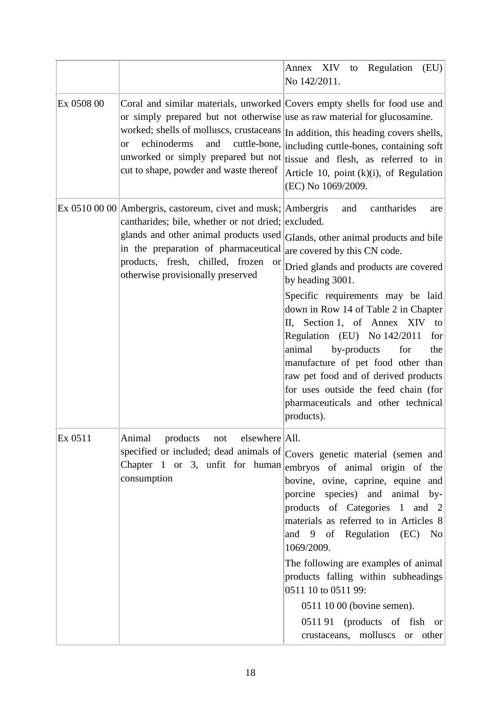|            |                                                                                                                                                                                                                                                                                     | to Regulation<br>(EU)<br>Annex XIV<br>No 142/2011.                                                                                                                                                                                                                                                                                                                                                                                                                                                                                         |
|------------|-------------------------------------------------------------------------------------------------------------------------------------------------------------------------------------------------------------------------------------------------------------------------------------|--------------------------------------------------------------------------------------------------------------------------------------------------------------------------------------------------------------------------------------------------------------------------------------------------------------------------------------------------------------------------------------------------------------------------------------------------------------------------------------------------------------------------------------------|
| Ex 0508 00 | Coral and similar materials, unworked Covers empty shells for food use and<br>or simply prepared but not otherwise use as raw material for glucosamine.<br>echinoderms<br>and<br>or<br>unworked or simply prepared but not<br>cut to shape, powder and waste thereof                | worked; shells of molluscs, crustaceans In addition, this heading covers shells,<br>cuttle-bone, including cuttle-bones, containing soft<br>tissue and flesh, as referred to in<br>Article 10, point $(k)(i)$ , of Regulation<br>(EC) No 1069/2009.                                                                                                                                                                                                                                                                                        |
|            | Ex 0510 00 00 Ambergris, castoreum, civet and musk; Ambergris<br>cantharides; bile, whether or not dried; excluded.<br>glands and other animal products used<br>in the preparation of pharmaceutical<br>products, fresh, chilled, frozen<br>or<br>otherwise provisionally preserved | cantharides<br>and<br>are<br>Glands, other animal products and bile<br>are covered by this CN code.<br>Dried glands and products are covered<br>by heading 3001.<br>Specific requirements may be laid<br>down in Row 14 of Table 2 in Chapter<br>II, Section 1, of Annex XIV<br>to<br>Regulation (EU) No 142/2011<br>for<br>animal<br>by-products<br>for<br>the<br>manufacture of pet food other than<br>raw pet food and of derived products<br>for uses outside the feed chain (for<br>pharmaceuticals and other technical<br>products). |
| Ex 0511    | Animal<br>products not<br>elsewhere All.<br>Chapter 1 or 3, unfit for human<br>consumption                                                                                                                                                                                          | specified or included; dead animals of $ _{\text{Covers}}$ genetic material (semen and<br>embryos of animal origin of the<br>bovine, ovine, caprine, equine and<br>porcine species) and animal by-<br>products of Categories 1 and 2<br>materials as referred to in Articles 8<br>and 9 of Regulation (EC) No<br>1069/2009.<br>The following are examples of animal<br>products falling within subheadings<br>0511 10 to 0511 99:<br>0511 10 00 (bovine semen).<br>051191 (products of fish or<br>crustaceans, molluscs or other           |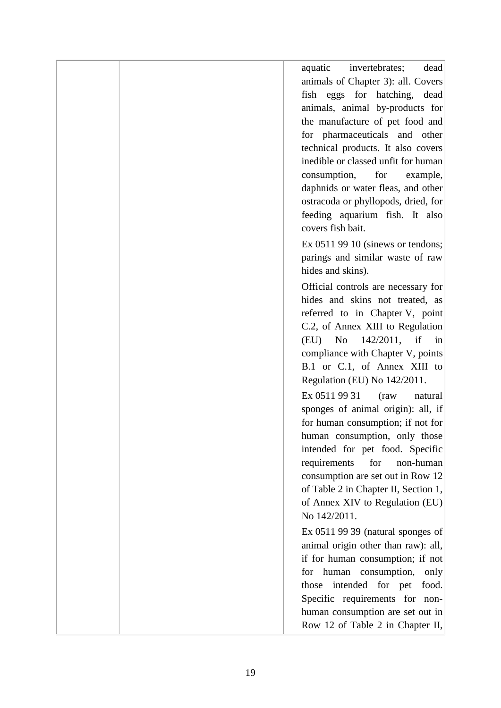aquatic invertebrates; dead animals of Chapter 3): all. Covers fish eggs for hatching, dead animals, animal by-products for the manufacture of pet food and for pharmaceuticals and other technical products. It also covers inedible or classed unfit for human consumption, for example, daphnids or water fleas, and other ostracoda or phyllopods, dried, for feeding aquarium fish. It also covers fish bait. Ex 0511 99 10 (sinews or tendons: parings and similar waste of raw hides and skins). Official controls are necessary for hides and skins not treated, as referred to in Chapter V, point C.2, of Annex XIII to Regulation (EU) No 142/2011, if in compliance with Chapter V, points B.1 or C.1, of Annex XIII to Regulation (EU) No 142/2011. Ex 0511 99 31 (raw natural sponges of animal origin): all, if for human consumption; if not for human consumption, only those intended for pet food. Specific requirements for non-human consumption are set out in Row 12 of Table 2 in Chapter II, Section 1, of Annex XIV to Regulation (EU) No 142/2011. Ex 0511 99 39 (natural sponges of animal origin other than raw): all, if for human consumption; if not for human consumption, only those intended for pet food. Specific requirements for nonhuman consumption are set out in Row 12 of Table 2 in Chapter II,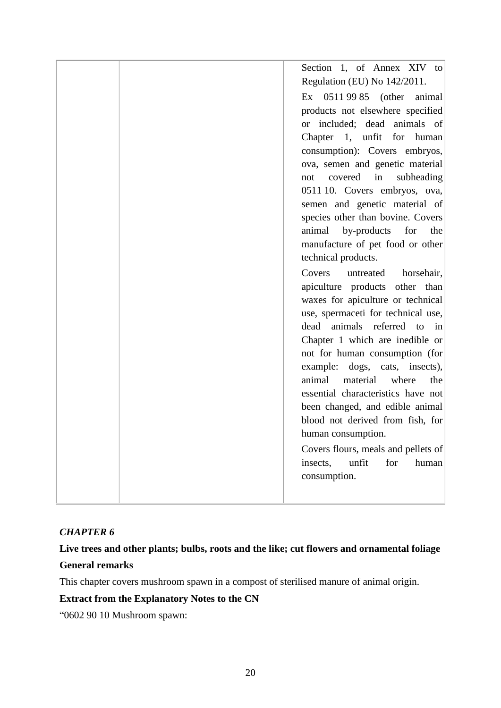| Section 1, of Annex XIV to          |
|-------------------------------------|
| Regulation (EU) No 142/2011.        |
| Ex $05119985$ (other animal         |
| products not elsewhere specified    |
| or included; dead animals of        |
| Chapter 1, unfit for human          |
| consumption): Covers embryos,       |
| ova, semen and genetic material     |
| covered in<br>subheading<br>not     |
| 0511 10. Covers embryos, ova,       |
| semen and genetic material of       |
| species other than bovine. Covers   |
| animal<br>by-products<br>for<br>the |
| manufacture of pet food or other    |
| technical products.                 |
| Covers<br>horsehair,<br>untreated   |
| apiculture products other than      |
| waxes for apiculture or technical   |
| use, spermaceti for technical use,  |
| dead<br>animals referred to in      |
| Chapter 1 which are inedible or     |
| not for human consumption (for      |
| example:<br>dogs, cats, insects),   |
| animal<br>material<br>where<br>the  |
| essential characteristics have not  |
| been changed, and edible animal     |
| blood not derived from fish, for    |
| human consumption.                  |
| Covers flours, meals and pellets of |
| unfit<br>insects,<br>for<br>human   |
| consumption.                        |
|                                     |
|                                     |

# **Live trees and other plants; bulbs, roots and the like; cut flowers and ornamental foliage General remarks**

This chapter covers mushroom spawn in a compost of sterilised manure of animal origin.

# **Extract from the Explanatory Notes to the CN**

"0602 90 10 Mushroom spawn: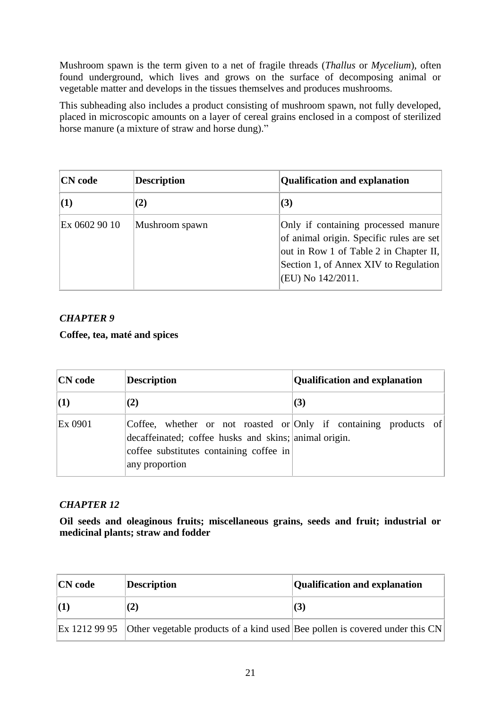Mushroom spawn is the term given to a net of fragile threads (*Thallus* or *Mycelium*), often found underground, which lives and grows on the surface of decomposing animal or vegetable matter and develops in the tissues themselves and produces mushrooms.

This subheading also includes a product consisting of mushroom spawn, not fully developed, placed in microscopic amounts on a layer of cereal grains enclosed in a compost of sterilized horse manure (a mixture of straw and horse dung)."

| $ CN \text{ code }$ | <b>Description</b> | Qualification and explanation                                                                                                                                                           |
|---------------------|--------------------|-----------------------------------------------------------------------------------------------------------------------------------------------------------------------------------------|
| $\vert(1)$          | (2)                | (3)                                                                                                                                                                                     |
| Ex 0602 90 10       | Mushroom spawn     | Only if containing processed manure<br>of animal origin. Specific rules are set<br>out in Row 1 of Table 2 in Chapter II,<br>Section 1, of Annex XIV to Regulation<br>(EU) No 142/2011. |

### *CHAPTER 9*

### **Coffee, tea, maté and spices**

| $ CN \text{ code }$ | <b>Description</b>                                                                                                                                                                     | Qualification and explanation |
|---------------------|----------------------------------------------------------------------------------------------------------------------------------------------------------------------------------------|-------------------------------|
| $\vert(1)$          | (2)                                                                                                                                                                                    | (3)                           |
| Ex 0901             | Coffee, whether or not roasted or Only if containing products of<br>decaffeinated; coffee husks and skins; animal origin.<br>coffee substitutes containing coffee in<br>any proportion |                               |

### *CHAPTER 12*

**Oil seeds and oleaginous fruits; miscellaneous grains, seeds and fruit; industrial or medicinal plants; straw and fodder**

| $ CN \text{ code }$ | Description                                                                                               | Qualification and explanation |
|---------------------|-----------------------------------------------------------------------------------------------------------|-------------------------------|
| $\mathbf{(1)}$      | (2)                                                                                                       | (3)                           |
|                     | $\vert$ Ex 1212 99 95 $\vert$ Other vegetable products of a kind used Bee pollen is covered under this CN |                               |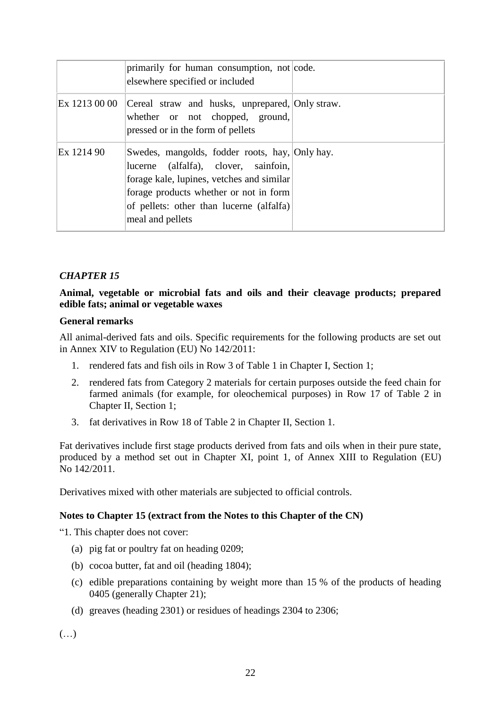|            | primarily for human consumption, not code.<br>elsewhere specified or included                                                                                                                                                                 |  |
|------------|-----------------------------------------------------------------------------------------------------------------------------------------------------------------------------------------------------------------------------------------------|--|
|            | Ex 1213 00 00   Cereal straw and husks, unprepared, Only straw.<br>whether or not chopped, ground,<br>pressed or in the form of pellets                                                                                                       |  |
| Ex 1214 90 | Swedes, mangolds, fodder roots, hay, Only hay.<br>lucerne (alfalfa), clover, sainfoin,<br>forage kale, lupines, vetches and similar<br>forage products whether or not in form<br>of pellets: other than lucerne (alfalfa)<br>meal and pellets |  |

### **Animal, vegetable or microbial fats and oils and their cleavage products; prepared edible fats; animal or vegetable waxes**

### **General remarks**

All animal-derived fats and oils. Specific requirements for the following products are set out in Annex XIV to Regulation (EU) No 142/2011:

- 1. rendered fats and fish oils in Row 3 of Table 1 in Chapter I, Section 1;
- 2. rendered fats from Category 2 materials for certain purposes outside the feed chain for farmed animals (for example, for oleochemical purposes) in Row 17 of Table 2 in Chapter II, Section 1;
- 3. fat derivatives in Row 18 of Table 2 in Chapter II, Section 1.

Fat derivatives include first stage products derived from fats and oils when in their pure state, produced by a method set out in Chapter XI, point 1, of Annex XIII to Regulation (EU) No 142/2011.

Derivatives mixed with other materials are subjected to official controls.

#### **Notes to Chapter 15 (extract from the Notes to this Chapter of the CN)**

"1. This chapter does not cover:

- (a) pig fat or poultry fat on heading 0209;
- (b) cocoa butter, fat and oil (heading 1804);
- (c) edible preparations containing by weight more than 15 % of the products of heading 0405 (generally Chapter 21);
- (d) greaves (heading 2301) or residues of headings 2304 to 2306;

 $(\ldots)$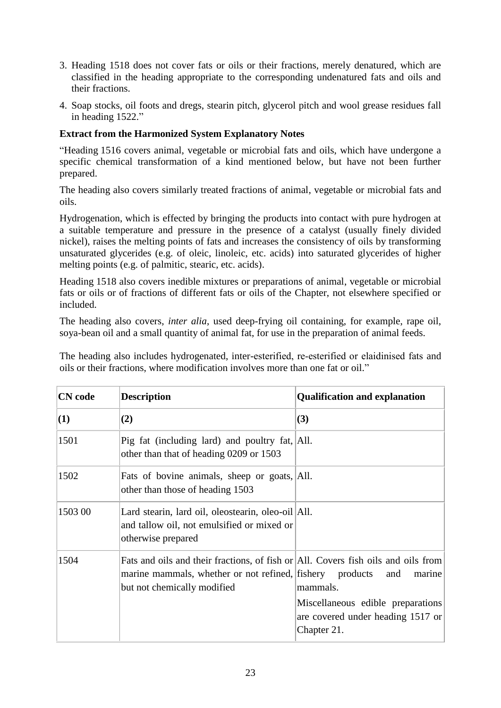- 3. Heading 1518 does not cover fats or oils or their fractions, merely denatured, which are classified in the heading appropriate to the corresponding undenatured fats and oils and their fractions.
- 4. Soap stocks, oil foots and dregs, stearin pitch, glycerol pitch and wool grease residues fall in heading 1522."

### **Extract from the Harmonized System Explanatory Notes**

"Heading 1516 covers animal, vegetable or microbial fats and oils, which have undergone a specific chemical transformation of a kind mentioned below, but have not been further prepared.

The heading also covers similarly treated fractions of animal, vegetable or microbial fats and oils.

Hydrogenation, which is effected by bringing the products into contact with pure hydrogen at a suitable temperature and pressure in the presence of a catalyst (usually finely divided nickel), raises the melting points of fats and increases the consistency of oils by transforming unsaturated glycerides (e.g. of oleic, linoleic, etc. acids) into saturated glycerides of higher melting points (e.g. of palmitic, stearic, etc. acids).

Heading 1518 also covers inedible mixtures or preparations of animal, vegetable or microbial fats or oils or of fractions of different fats or oils of the Chapter, not elsewhere specified or included.

The heading also covers, *inter alia*, used deep-frying oil containing, for example, rape oil, soya-bean oil and a small quantity of animal fat, for use in the preparation of animal feeds.

The heading also includes hydrogenated, inter-esterified, re-esterified or elaidinised fats and oils or their fractions, where modification involves more than one fat or oil."

| <b>CN</b> code | <b>Description</b>                                                                                                                                                           | <b>Qualification and explanation</b>                                                                               |
|----------------|------------------------------------------------------------------------------------------------------------------------------------------------------------------------------|--------------------------------------------------------------------------------------------------------------------|
| (1)            | (2)                                                                                                                                                                          | (3)                                                                                                                |
| 1501           | Pig fat (including lard) and poultry fat, All.<br>other than that of heading 0209 or 1503                                                                                    |                                                                                                                    |
| 1502           | Fats of bovine animals, sheep or goats, All.<br>other than those of heading 1503                                                                                             |                                                                                                                    |
| 1503 00        | Lard stearin, lard oil, oleostearin, oleo-oil All.<br>and tallow oil, not emulsified or mixed or<br>otherwise prepared                                                       |                                                                                                                    |
| 1504           | Fats and oils and their fractions, of fish or All. Covers fish oils and oils from<br>marine mammals, whether or not refined, fishery products<br>but not chemically modified | and<br>marine<br>mammals.<br>Miscellaneous edible preparations<br>are covered under heading 1517 or<br>Chapter 21. |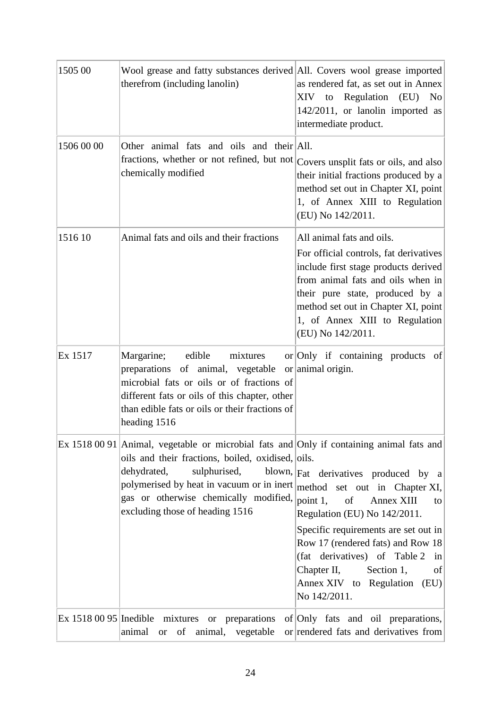| 1505 00    | Wool grease and fatty substances derived All. Covers wool grease imported<br>therefrom (including lanolin)                                                                                                                                                                                            | as rendered fat, as set out in Annex<br>XIV to Regulation<br>N <sub>o</sub><br>(EU)<br>142/2011, or lanolin imported as<br>intermediate product.                                                                                                                                                                                                                               |
|------------|-------------------------------------------------------------------------------------------------------------------------------------------------------------------------------------------------------------------------------------------------------------------------------------------------------|--------------------------------------------------------------------------------------------------------------------------------------------------------------------------------------------------------------------------------------------------------------------------------------------------------------------------------------------------------------------------------|
| 1506 00 00 | Other animal fats and oils and their All.<br>fractions, whether or not refined, but not<br>chemically modified                                                                                                                                                                                        | Covers unsplit fats or oils, and also<br>their initial fractions produced by $a$<br>method set out in Chapter XI, point<br>1, of Annex XIII to Regulation<br>(EU) No 142/2011.                                                                                                                                                                                                 |
| 1516 10    | Animal fats and oils and their fractions                                                                                                                                                                                                                                                              | All animal fats and oils.<br>For official controls, fat derivatives<br>include first stage products derived<br>from animal fats and oils when in<br>their pure state, produced by a<br>method set out in Chapter XI, point<br>1, of Annex XIII to Regulation<br>(EU) No 142/2011.                                                                                              |
| Ex 1517    | Margarine; edible<br>mixtures<br>preparations of animal, vegetable<br>microbial fats or oils or of fractions of<br>different fats or oils of this chapter, other<br>than edible fats or oils or their fractions of<br>heading 1516                                                                    | or Only if containing products of<br>or animal origin.                                                                                                                                                                                                                                                                                                                         |
|            | Ex 1518 00 91 Animal, vegetable or microbial fats and Only if containing animal fats and<br>oils and their fractions, boiled, oxidised, oils.<br>dehydrated,<br>sulphurised,<br>polymerised by heat in vacuum or in inert<br>gas or otherwise chemically modified,<br>excluding those of heading 1516 | blown, Fat derivatives produced by<br> a <br>method set out in Chapter XI,<br>point 1,<br>of<br>Annex XIII<br>to<br>Regulation (EU) No 142/2011.<br>Specific requirements are set out in<br>Row 17 (rendered fats) and Row 18<br>(fat derivatives) of Table 2<br>$\left  \text{in} \right $<br>Section 1,<br>Chapter II,<br>of<br>Annex XIV to Regulation (EU)<br>No 142/2011. |
|            | Ex $15180095$ Inedible mixtures or preparations<br>of<br>animal,<br>vegetable<br>animal<br><sub>or</sub>                                                                                                                                                                                              | of Only fats and oil preparations,<br>or rendered fats and derivatives from                                                                                                                                                                                                                                                                                                    |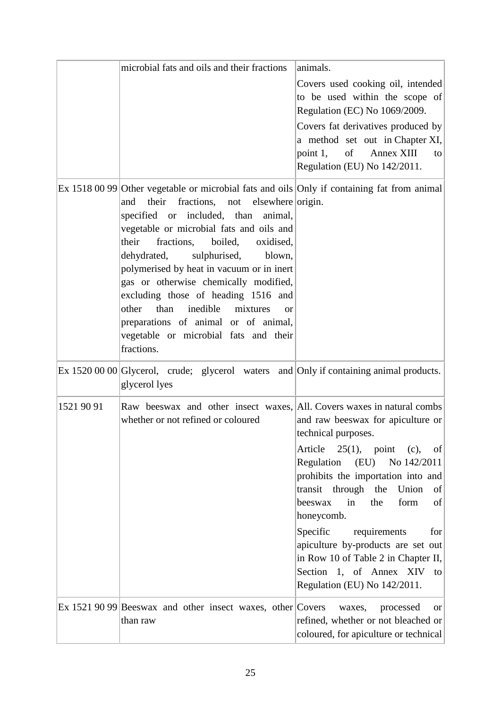|            | microbial fats and oils and their fractions                                                                                                                                                                                                                                                                                                                                                                                                                                                                                                                                                                  | animals.<br>Covers used cooking oil, intended<br>to be used within the scope of<br>Regulation (EC) No 1069/2009.<br>Covers fat derivatives produced by<br>a method set out in Chapter XI,<br>point 1, of Annex XIII<br>to<br>Regulation (EU) No 142/2011.                                                                                                                                                                                                 |
|------------|--------------------------------------------------------------------------------------------------------------------------------------------------------------------------------------------------------------------------------------------------------------------------------------------------------------------------------------------------------------------------------------------------------------------------------------------------------------------------------------------------------------------------------------------------------------------------------------------------------------|-----------------------------------------------------------------------------------------------------------------------------------------------------------------------------------------------------------------------------------------------------------------------------------------------------------------------------------------------------------------------------------------------------------------------------------------------------------|
|            | Ex 1518 00 99 Other vegetable or microbial fats and oils Only if containing fat from animal<br>their fractions, not elsewhere origin.<br>and<br>specified or included, than<br>animal,<br>vegetable or microbial fats and oils and<br>their<br>fractions,<br>boiled,<br>oxidised,<br>sulphurised,<br>dehydrated,<br>blown,<br>polymerised by heat in vacuum or in inert<br>gas or otherwise chemically modified,<br>excluding those of heading 1516 and<br>than<br>inedible<br>other<br>mixtures<br><b>or</b><br>preparations of animal or of animal,<br>vegetable or microbial fats and their<br>fractions. |                                                                                                                                                                                                                                                                                                                                                                                                                                                           |
|            | Ex 1520 00 00 Glycerol, crude; glycerol waters and Only if containing animal products.<br>glycerol lyes                                                                                                                                                                                                                                                                                                                                                                                                                                                                                                      |                                                                                                                                                                                                                                                                                                                                                                                                                                                           |
| 1521 90 91 | Raw beeswax and other insect waxes, All. Covers waxes in natural combs<br>whether or not refined or coloured                                                                                                                                                                                                                                                                                                                                                                                                                                                                                                 | and raw beeswax for apiculture or<br>technical purposes.<br>Article $25(1)$ , point (c),<br>$\vert$ of<br>Regulation<br>(EU)<br>No 142/2011<br>prohibits the importation into and<br>transit through the<br>Union<br>of<br>in<br>the<br>form<br>beeswax<br>of<br>honeycomb.<br>Specific<br>requirements<br>for<br>apiculture by-products are set out<br>in Row 10 of Table 2 in Chapter II,<br>Section 1, of Annex XIV to<br>Regulation (EU) No 142/2011. |
|            | Ex 1521 90 99 Beeswax and other insect waxes, other Covers<br>than raw                                                                                                                                                                                                                                                                                                                                                                                                                                                                                                                                       | processed<br>waxes,<br><b>or</b><br>refined, whether or not bleached or<br>coloured, for apiculture or technical                                                                                                                                                                                                                                                                                                                                          |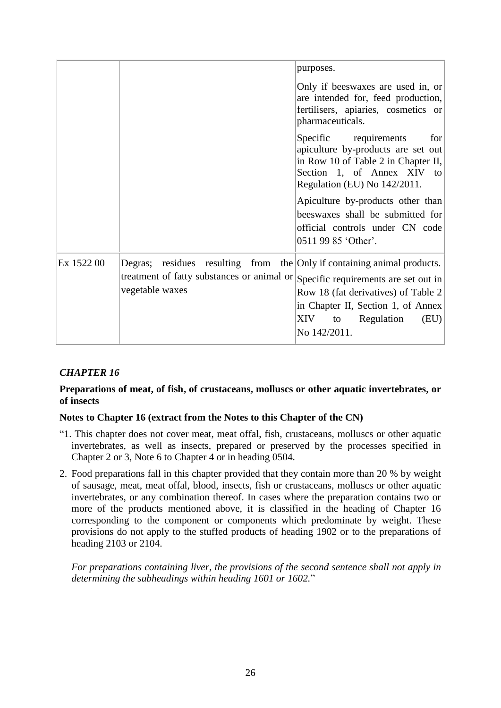|            |                                                                                                                                                                               | purposes.                                                                                                                                                               |
|------------|-------------------------------------------------------------------------------------------------------------------------------------------------------------------------------|-------------------------------------------------------------------------------------------------------------------------------------------------------------------------|
|            |                                                                                                                                                                               | Only if beeswaxes are used in, or<br>are intended for, feed production,<br>fertilisers, apiaries, cosmetics or<br>pharmaceuticals.                                      |
|            |                                                                                                                                                                               | Specific requirements<br>for<br>apiculture by-products are set out<br>in Row 10 of Table 2 in Chapter II,<br>Section 1, of Annex XIV to<br>Regulation (EU) No 142/2011. |
|            |                                                                                                                                                                               | Apiculture by-products other than<br>beeswaxes shall be submitted for<br>official controls under CN code<br>0511 99 85 'Other'.                                         |
| Ex 1522 00 | Degras; residues resulting from the Only if containing animal products.<br>treatment of fatty substances or animal or Specific requirements are set out in<br>vegetable waxes | Row 18 (fat derivatives) of Table 2<br>in Chapter II, Section 1, of Annex<br>XIV<br>Regulation<br>(EU)<br>to<br>No 142/2011.                                            |

### **Preparations of meat, of fish, of crustaceans, molluscs or other aquatic invertebrates, or of insects**

### **Notes to Chapter 16 (extract from the Notes to this Chapter of the CN)**

- "1. This chapter does not cover meat, meat offal, fish, crustaceans, molluscs or other aquatic invertebrates, as well as insects, prepared or preserved by the processes specified in Chapter 2 or 3, Note 6 to Chapter 4 or in heading 0504.
- 2. Food preparations fall in this chapter provided that they contain more than 20 % by weight of sausage, meat, meat offal, blood, insects, fish or crustaceans, molluscs or other aquatic invertebrates, or any combination thereof. In cases where the preparation contains two or more of the products mentioned above, it is classified in the heading of Chapter 16 corresponding to the component or components which predominate by weight. These provisions do not apply to the stuffed products of heading 1902 or to the preparations of heading 2103 or 2104.

*For preparations containing liver, the provisions of the second sentence shall not apply in determining the subheadings within heading 1601 or 1602.*"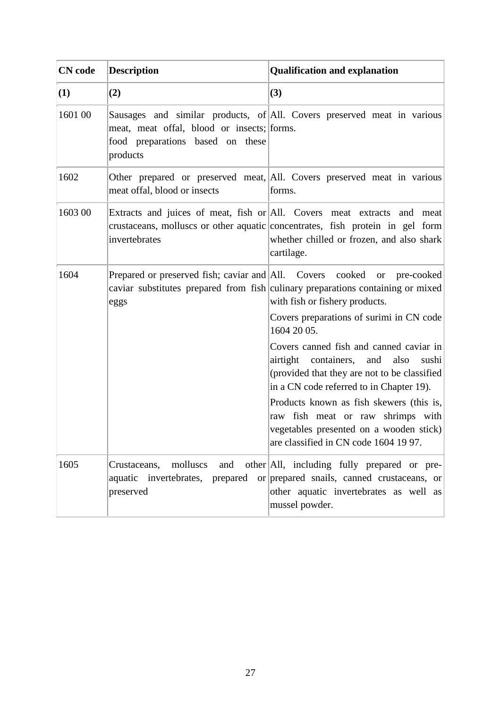| <b>CN</b> code | <b>Description</b>                                                                         | <b>Qualification and explanation</b>                                                                                                                                                                                                                    |
|----------------|--------------------------------------------------------------------------------------------|---------------------------------------------------------------------------------------------------------------------------------------------------------------------------------------------------------------------------------------------------------|
| (1)            | (2)                                                                                        | (3)                                                                                                                                                                                                                                                     |
| 1601 00        | meat, meat offal, blood or insects; forms.<br>food preparations based on these<br>products | Sausages and similar products, of All. Covers preserved meat in various                                                                                                                                                                                 |
| 1602           | meat offal, blood or insects                                                               | Other prepared or preserved meat, All. Covers preserved meat in various<br>forms.                                                                                                                                                                       |
| 1603 00        | invertebrates                                                                              | Extracts and juices of meat, fish or All. Covers meat extracts and meat<br>crustaceans, molluscs or other aquatic concentrates, fish protein in gel form<br>whether chilled or frozen, and also shark<br>cartilage.                                     |
| 1604           | eggs                                                                                       | Prepared or preserved fish; caviar and All. Covers cooked or pre-cooked<br>caviar substitutes prepared from fish culinary preparations containing or mixed<br>with fish or fishery products.<br>Covers preparations of surimi in CN code<br>1604 20 05. |
|                |                                                                                            | Covers canned fish and canned caviar in<br>airtight<br>containers,<br>and<br>also<br>sushi<br>(provided that they are not to be classified<br>in a CN code referred to in Chapter 19).                                                                  |
|                |                                                                                            | Products known as fish skewers (this is,<br>raw fish meat or raw shrimps with<br>vegetables presented on a wooden stick)<br>are classified in CN code 1604 19 97.                                                                                       |
| 1605           | Crustaceans,<br>molluscs<br>and<br>aquatic invertebrates, prepared<br>preserved            | other All, including fully prepared or pre-<br>or prepared snails, canned crustaceans, or<br>other aquatic invertebrates as well as<br>mussel powder.                                                                                                   |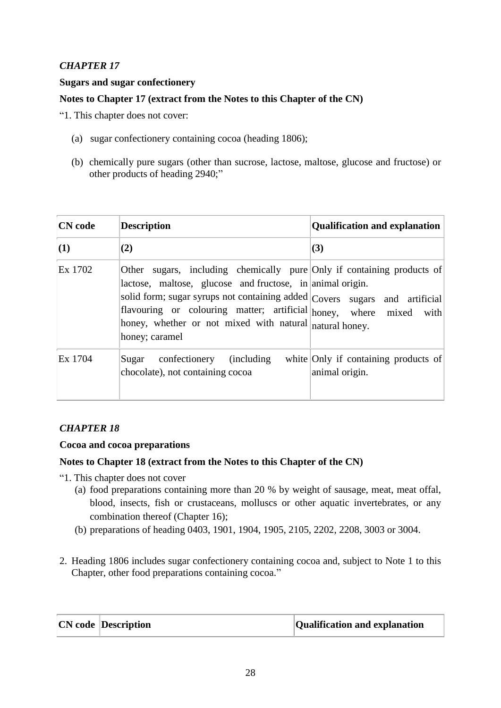### **Sugars and sugar confectionery**

### **Notes to Chapter 17 (extract from the Notes to this Chapter of the CN)**

"1. This chapter does not cover:

- (a) sugar confectionery containing cocoa (heading 1806);
- (b) chemically pure sugars (other than sucrose, lactose, maltose, glucose and fructose) or other products of heading 2940;"

| <b>CN</b> code | <b>Description</b>                                                                                                                                                                                                                                                                                                                                                        | <b>Qualification and explanation</b>                   |
|----------------|---------------------------------------------------------------------------------------------------------------------------------------------------------------------------------------------------------------------------------------------------------------------------------------------------------------------------------------------------------------------------|--------------------------------------------------------|
| (1)            | (2)                                                                                                                                                                                                                                                                                                                                                                       | (3)                                                    |
| Ex 1702        | Other sugars, including chemically pure Only if containing products of<br>lactose, maltose, glucose and fructose, in animal origin.<br>solid form; sugar syrups not containing added $ Covers\rangle$ sugars and artificial<br>flavouring or colouring matter; artificial honey, where mixed<br>honey, whether or not mixed with natural natural honey.<br>honey; caramel | with                                                   |
| Ex 1704        | confectionery (including<br>Sugar<br>chocolate), not containing cocoa                                                                                                                                                                                                                                                                                                     | white Only if containing products of<br>animal origin. |

### *CHAPTER 18*

#### **Cocoa and cocoa preparations**

#### **Notes to Chapter 18 (extract from the Notes to this Chapter of the CN)**

- "1. This chapter does not cover
	- (a) food preparations containing more than 20 % by weight of sausage, meat, meat offal, blood, insects, fish or crustaceans, molluscs or other aquatic invertebrates, or any combination thereof (Chapter 16);
	- (b) preparations of heading 0403, 1901, 1904, 1905, 2105, 2202, 2208, 3003 or 3004.
- 2. Heading 1806 includes sugar confectionery containing cocoa and, subject to Note 1 to this Chapter, other food preparations containing cocoa."

|  | <b>CN</b> code Description | Qualification and explanation |
|--|----------------------------|-------------------------------|
|--|----------------------------|-------------------------------|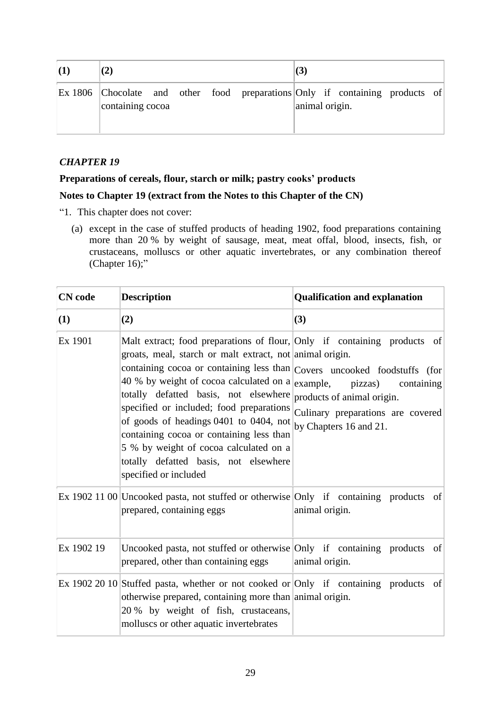| (2)                                                                                                           |  | (3)            |  |  |
|---------------------------------------------------------------------------------------------------------------|--|----------------|--|--|
| $\mathbb{E}$ Ex 1806 Chocolate and other food preparations Only if containing products of<br>containing cocoa |  | animal origin. |  |  |

### **Preparations of cereals, flour, starch or milk; pastry cooks' products**

### **Notes to Chapter 19 (extract from the Notes to this Chapter of the CN)**

- "1. This chapter does not cover:
	- (a) except in the case of stuffed products of heading 1902, food preparations containing more than 20 % by weight of sausage, meat, meat offal, blood, insects, fish, or crustaceans, molluscs or other aquatic invertebrates, or any combination thereof (Chapter 16);"

| <b>CN</b> code | <b>Description</b>                                                                                                                                                                                                                                                                                                                                                                                                                                                                                                                                              | <b>Qualification and explanation</b>                                                                               |
|----------------|-----------------------------------------------------------------------------------------------------------------------------------------------------------------------------------------------------------------------------------------------------------------------------------------------------------------------------------------------------------------------------------------------------------------------------------------------------------------------------------------------------------------------------------------------------------------|--------------------------------------------------------------------------------------------------------------------|
| (1)            | (2)                                                                                                                                                                                                                                                                                                                                                                                                                                                                                                                                                             | (3)                                                                                                                |
| Ex 1901        | Malt extract; food preparations of flour, Only if containing products of<br>groats, meal, starch or malt extract, not animal origin.<br>containing cocoa or containing less than Covers uncooked foodstuffs (for<br>40 % by weight of cocoa calculated on a $ $ example,<br>totally defatted basis, not elsewhere<br>specified or included; food preparations<br>of goods of headings 0401 to 0404, not<br>containing cocoa or containing less than<br>5 % by weight of cocoa calculated on a<br>totally defatted basis, not elsewhere<br>specified or included | pizzas)<br>containing<br>products of animal origin.<br>Culinary preparations are covered<br>by Chapters 16 and 21. |
|                | Ex 1902 11 00 Uncooked pasta, not stuffed or otherwise Only if containing products<br>prepared, containing eggs                                                                                                                                                                                                                                                                                                                                                                                                                                                 | of<br>animal origin.                                                                                               |
| Ex 1902 19     | Uncooked pasta, not stuffed or otherwise Only if containing products of<br>prepared, other than containing eggs                                                                                                                                                                                                                                                                                                                                                                                                                                                 | animal origin.                                                                                                     |
|                | Ex 1902 20 10 Stuffed pasta, whether or not cooked or Only if containing products<br>otherwise prepared, containing more than animal origin.<br>20 % by weight of fish, crustaceans,<br>molluscs or other aquatic invertebrates                                                                                                                                                                                                                                                                                                                                 | of                                                                                                                 |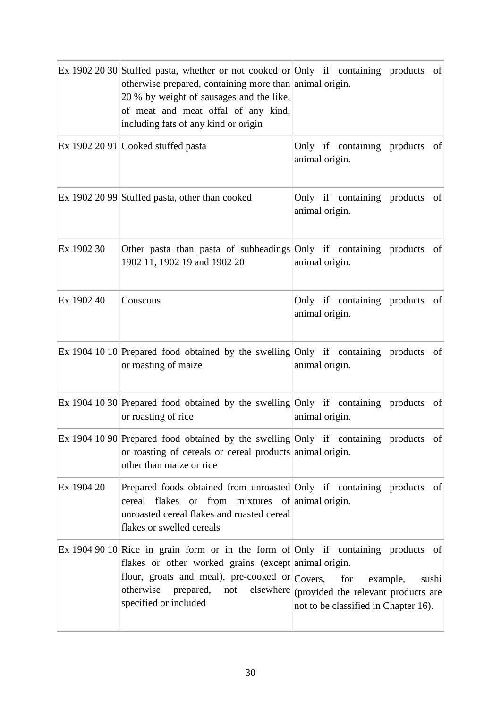|            | Ex 1902 20 30 Stuffed pasta, whether or not cooked or Only if containing products of<br>otherwise prepared, containing more than animal origin.<br>20 % by weight of sausages and the like,<br>of meat and meat offal of any kind,<br>including fats of any kind or origin |                                                                                                                   |
|------------|----------------------------------------------------------------------------------------------------------------------------------------------------------------------------------------------------------------------------------------------------------------------------|-------------------------------------------------------------------------------------------------------------------|
|            | Ex 1902 20 91 Cooked stuffed pasta                                                                                                                                                                                                                                         | Only if containing products<br>of<br>animal origin.                                                               |
|            | Ex 1902 20 99 Stuffed pasta, other than cooked                                                                                                                                                                                                                             | Only if containing products<br> of <br>animal origin.                                                             |
| Ex 1902 30 | Other pasta than pasta of subheadings Only if containing products<br>1902 11, 1902 19 and 1902 20                                                                                                                                                                          | of <br>animal origin.                                                                                             |
| Ex 1902 40 | Couscous                                                                                                                                                                                                                                                                   | Only if containing products<br>$\vert$ of<br>animal origin.                                                       |
|            | Ex 1904 10 10 Prepared food obtained by the swelling $\text{Only}$ if containing products<br>or roasting of maize                                                                                                                                                          | of<br>animal origin.                                                                                              |
|            | Ex 1904 10 30 Prepared food obtained by the swelling Only if containing products of<br>or roasting of rice                                                                                                                                                                 | animal origin.                                                                                                    |
|            | Ex 1904 10 90 Prepared food obtained by the swelling Only if containing products of<br>or roasting of cereals or cereal products animal origin.<br>other than maize or rice                                                                                                |                                                                                                                   |
| Ex 1904 20 | Prepared foods obtained from unroasted Only if containing products<br>from mixtures of animal origin.<br>cereal flakes or<br>unroasted cereal flakes and roasted cereal<br>flakes or swelled cereals                                                                       | of                                                                                                                |
|            | Ex 1904 90 10 Rice in grain form or in the form of Only if containing products of<br>flakes or other worked grains (except animal origin.<br>flour, groats and meal), pre-cooked or $\vert$ Covers,<br>otherwise<br>prepared, not<br>specified or included                 | for<br>example,<br>sushi<br>elsewhere (provided the relevant products are<br>not to be classified in Chapter 16). |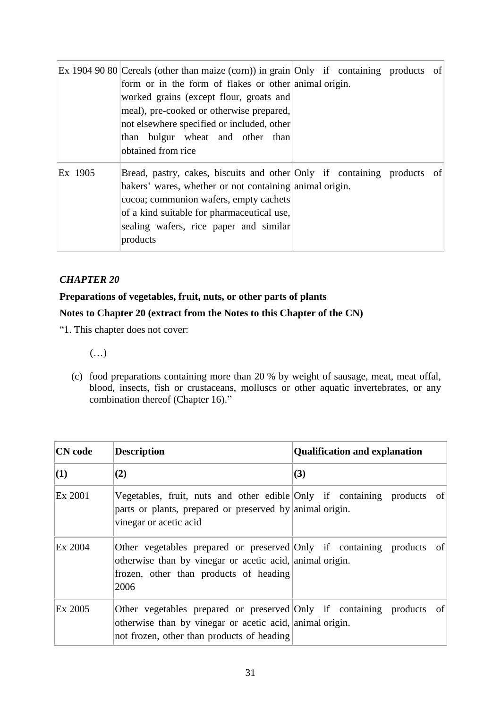|         | Ex 1904 90 80 Cereals (other than maize (corn)) in grain Only if containing products of                                                                                                                                                                                          |  |  |  |
|---------|----------------------------------------------------------------------------------------------------------------------------------------------------------------------------------------------------------------------------------------------------------------------------------|--|--|--|
|         | form or in the form of flakes or other animal origin.<br>worked grains (except flour, groats and<br>meal), pre-cooked or otherwise prepared,<br>not elsewhere specified or included, other<br>than bulgur wheat and other than<br>obtained from rice                             |  |  |  |
| Ex 1905 | Bread, pastry, cakes, biscuits and other Only if containing products of<br>bakers' wares, whether or not containing animal origin.<br>cocoa; communion wafers, empty cachets<br>of a kind suitable for pharmaceutical use,<br>sealing wafers, rice paper and similar<br>products |  |  |  |

### **Preparations of vegetables, fruit, nuts, or other parts of plants**

# **Notes to Chapter 20 (extract from the Notes to this Chapter of the CN)**

- "1. This chapter does not cover:
	- (…)
	- (c) food preparations containing more than 20 % by weight of sausage, meat, meat offal, blood, insects, fish or crustaceans, molluscs or other aquatic invertebrates, or any combination thereof (Chapter 16)."

| <b>CN</b> code | <b>Description</b>                                                                                                                                                                  | <b>Qualification and explanation</b> |
|----------------|-------------------------------------------------------------------------------------------------------------------------------------------------------------------------------------|--------------------------------------|
| (1)            | (2)                                                                                                                                                                                 | (3)                                  |
| Ex 2001        | Vegetables, fruit, nuts and other edible Only if containing products of<br>parts or plants, prepared or preserved by animal origin.<br>vinegar or acetic acid                       |                                      |
| Ex 2004        | Other vegetables prepared or preserved Only if containing products of<br>otherwise than by vinegar or acetic acid, animal origin.<br>frozen, other than products of heading<br>2006 |                                      |
| Ex 2005        | Other vegetables prepared or preserved Only if containing products of<br>otherwise than by vinegar or acetic acid, animal origin.<br>not frozen, other than products of heading     |                                      |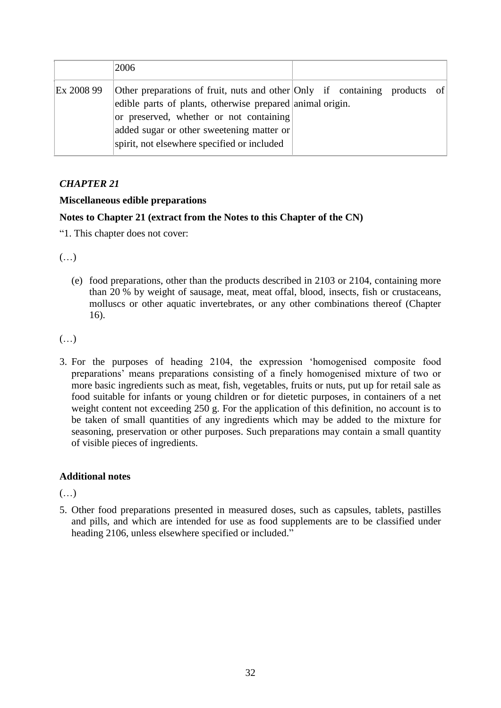|            | 2006                                                                                                                                                                                                                                                                           |  |  |  |
|------------|--------------------------------------------------------------------------------------------------------------------------------------------------------------------------------------------------------------------------------------------------------------------------------|--|--|--|
| Ex 2008 99 | Other preparations of fruit, nuts and other Only if containing products of<br>edible parts of plants, otherwise prepared animal origin.<br>or preserved, whether or not containing<br>added sugar or other sweetening matter or<br>spirit, not elsewhere specified or included |  |  |  |

### **Miscellaneous edible preparations**

### **Notes to Chapter 21 (extract from the Notes to this Chapter of the CN)**

"1. This chapter does not cover:

(…)

(e) food preparations, other than the products described in 2103 or 2104, containing more than 20 % by weight of sausage, meat, meat offal, blood, insects, fish or crustaceans, molluscs or other aquatic invertebrates, or any other combinations thereof (Chapter 16).

(…)

3. For the purposes of heading 2104, the expression 'homogenised composite food preparations' means preparations consisting of a finely homogenised mixture of two or more basic ingredients such as meat, fish, vegetables, fruits or nuts, put up for retail sale as food suitable for infants or young children or for dietetic purposes, in containers of a net weight content not exceeding 250 g. For the application of this definition, no account is to be taken of small quantities of any ingredients which may be added to the mixture for seasoning, preservation or other purposes. Such preparations may contain a small quantity of visible pieces of ingredients.

### **Additional notes**

 $(\ldots)$ 

5. Other food preparations presented in measured doses, such as capsules, tablets, pastilles and pills, and which are intended for use as food supplements are to be classified under heading 2106, unless elsewhere specified or included."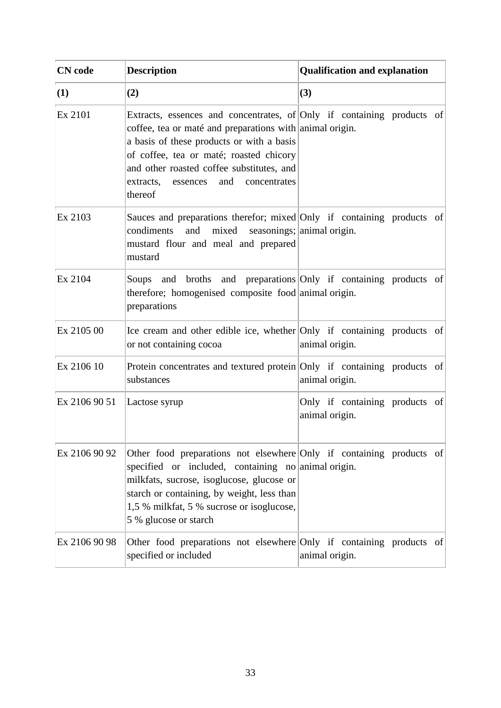| <b>CN</b> code    | <b>Description</b>                                                                                                                                                                                                                                                                                                                 | <b>Qualification and explanation</b>             |
|-------------------|------------------------------------------------------------------------------------------------------------------------------------------------------------------------------------------------------------------------------------------------------------------------------------------------------------------------------------|--------------------------------------------------|
| $\left( 1\right)$ | (2)                                                                                                                                                                                                                                                                                                                                | (3)                                              |
| Ex 2101           | Extracts, essences and concentrates, of Only if containing products of<br>coffee, tea or maté and preparations with animal origin.<br>a basis of these products or with a basis<br>of coffee, tea or maté; roasted chicory<br>and other roasted coffee substitutes, and<br>and<br>extracts,<br>concentrates<br>essences<br>thereof |                                                  |
| Ex 2103           | Sauces and preparations therefor; mixed Only if containing products of<br>mixed<br>condiments<br>and<br>mustard flour and meal and prepared<br>mustard                                                                                                                                                                             | seasonings; animal origin.                       |
| Ex 2104           | Soups and broths and preparations Only if containing products of<br>therefore; homogenised composite food animal origin.<br>preparations                                                                                                                                                                                           |                                                  |
| Ex 2105 00        | Ice cream and other edible ice, whether Only if containing products of<br>or not containing cocoa                                                                                                                                                                                                                                  | animal origin.                                   |
| Ex 2106 10        | Protein concentrates and textured protein Only if containing products of<br>substances                                                                                                                                                                                                                                             | animal origin.                                   |
| Ex 2106 90 51     | Lactose syrup                                                                                                                                                                                                                                                                                                                      | Only if containing products of<br>animal origin. |
| Ex 2106 90 92     | Other food preparations not elsewhere Only if containing products of<br>specified or included, containing no animal origin.<br>milkfats, sucrose, isoglucose, glucose or<br>starch or containing, by weight, less than<br>1,5 % milkfat, 5 % sucrose or isoglucose,<br>5 % glucose or starch                                       |                                                  |
| Ex 2106 90 98     | Other food preparations not elsewhere Only if containing products of<br>specified or included                                                                                                                                                                                                                                      | animal origin.                                   |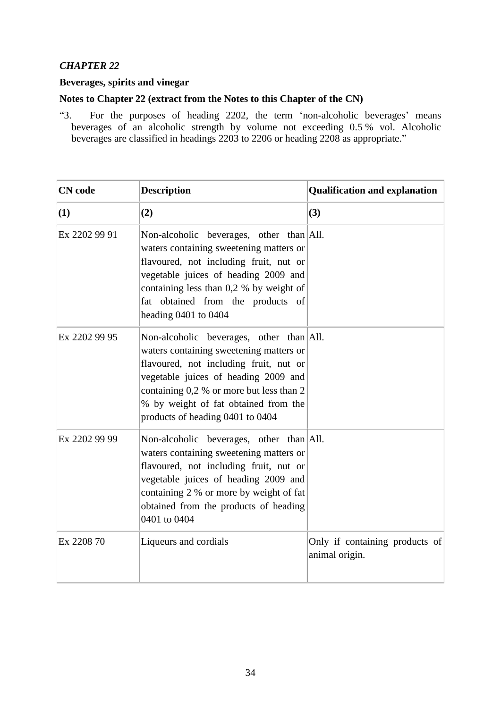### **Beverages, spirits and vinegar**

# **Notes to Chapter 22 (extract from the Notes to this Chapter of the CN)**

"3. For the purposes of heading 2202, the term 'non-alcoholic beverages' means beverages of an alcoholic strength by volume not exceeding 0.5 % vol. Alcoholic beverages are classified in headings 2203 to 2206 or heading 2208 as appropriate."

| <b>CN</b> code<br><b>Description</b> |                                                                                                                                                                                                                                                                                               | <b>Qualification and explanation</b>             |
|--------------------------------------|-----------------------------------------------------------------------------------------------------------------------------------------------------------------------------------------------------------------------------------------------------------------------------------------------|--------------------------------------------------|
| (1)                                  | (2)                                                                                                                                                                                                                                                                                           | (3)                                              |
| Ex 2202 99 91                        | Non-alcoholic beverages, other than $\vert$ All.<br>waters containing sweetening matters or<br>flavoured, not including fruit, nut or<br>vegetable juices of heading 2009 and<br>containing less than 0,2 % by weight of<br>fat obtained from the products of<br>heading 0401 to 0404         |                                                  |
| Ex 2202 99 95                        | Non-alcoholic beverages, other than All.<br>waters containing sweetening matters or<br>flavoured, not including fruit, nut or<br>vegetable juices of heading 2009 and<br>containing 0,2 % or more but less than 2<br>% by weight of fat obtained from the<br>products of heading 0401 to 0404 |                                                  |
| Ex 2202 99 99                        | Non-alcoholic beverages, other than All.<br>waters containing sweetening matters or<br>flavoured, not including fruit, nut or<br>vegetable juices of heading 2009 and<br>containing 2 % or more by weight of fat<br>obtained from the products of heading<br>0401 to 0404                     |                                                  |
| Ex 2208 70                           | Liqueurs and cordials                                                                                                                                                                                                                                                                         | Only if containing products of<br>animal origin. |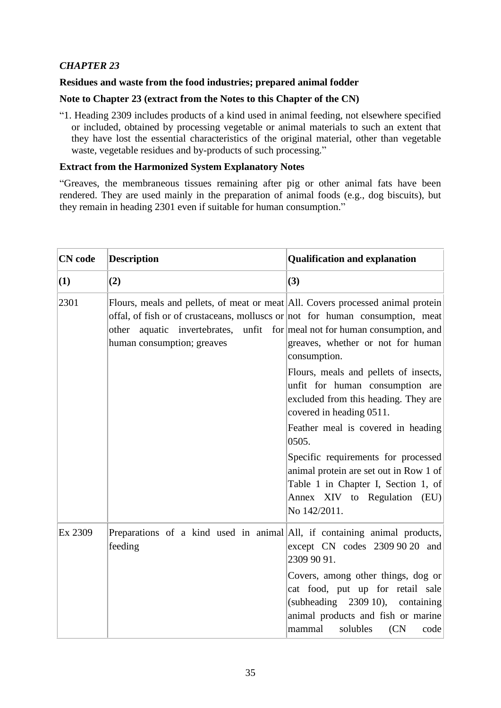### **Residues and waste from the food industries; prepared animal fodder**

### **Note to Chapter 23 (extract from the Notes to this Chapter of the CN)**

"1. Heading 2309 includes products of a kind used in animal feeding, not elsewhere specified or included, obtained by processing vegetable or animal materials to such an extent that they have lost the essential characteristics of the original material, other than vegetable waste, vegetable residues and by-products of such processing."

### **Extract from the Harmonized System Explanatory Notes**

"Greaves, the membraneous tissues remaining after pig or other animal fats have been rendered. They are used mainly in the preparation of animal foods (e.g., dog biscuits), but they remain in heading 2301 even if suitable for human consumption."

| <b>CN</b> code | <b>Description</b>                                                                                                                                                                                      | <b>Qualification and explanation</b>                                                                                                                                                                          |
|----------------|---------------------------------------------------------------------------------------------------------------------------------------------------------------------------------------------------------|---------------------------------------------------------------------------------------------------------------------------------------------------------------------------------------------------------------|
| (1)            | (2)                                                                                                                                                                                                     | (3)                                                                                                                                                                                                           |
| 2301           | Flours, meals and pellets, of meat or meat All. Covers processed animal protein<br>offal, of fish or of crustaceans, molluscs or not for human consumption, meat<br>other<br>human consumption; greaves | aquatic invertebrates, unfit for meal not for human consumption, and<br>greaves, whether or not for human<br>consumption.                                                                                     |
|                |                                                                                                                                                                                                         | Flours, meals and pellets of insects,<br>unfit for human consumption are<br>excluded from this heading. They are<br>covered in heading 0511.                                                                  |
|                |                                                                                                                                                                                                         | Feather meal is covered in heading<br>0505.                                                                                                                                                                   |
|                |                                                                                                                                                                                                         | Specific requirements for processed<br>animal protein are set out in Row 1 of<br>Table 1 in Chapter I, Section 1, of<br>Annex XIV to Regulation (EU)<br>No 142/2011.                                          |
| Ex 2309        | Preparations of a kind used in animal All, if containing animal products,<br>feeding                                                                                                                    | except CN codes 2309 90 20 and<br>2309 90 91.<br>Covers, among other things, dog or<br>cat food, put up for retail sale<br>(subheading 2309 10), containing<br>animal products and fish or marine<br>solubles |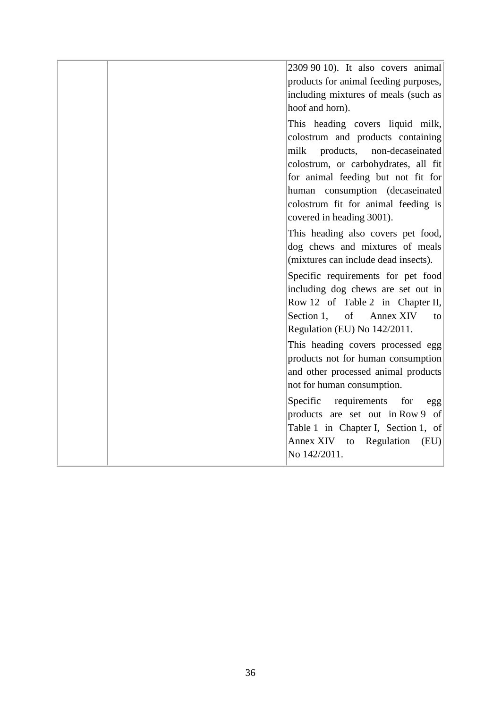| 2309 90 10). It also covers animal     |
|----------------------------------------|
| products for animal feeding purposes,  |
| including mixtures of meals (such as   |
| hoof and horn).                        |
| This heading covers liquid milk,       |
| colostrum and products containing      |
| products,<br>non-decaseinated<br>milk  |
| colostrum, or carbohydrates, all fit   |
| for animal feeding but not fit for     |
| human consumption (decaseinated        |
| colostrum fit for animal feeding is    |
| covered in heading 3001).              |
| This heading also covers pet food,     |
| dog chews and mixtures of meals        |
| (mixtures can include dead insects).   |
| Specific requirements for pet food     |
| including dog chews are set out in     |
| Row 12 of Table 2 in Chapter II,       |
| Section 1,<br>of<br>Annex XIV<br>to    |
| Regulation (EU) No 142/2011.           |
| This heading covers processed egg      |
| products not for human consumption     |
| and other processed animal products    |
| not for human consumption.             |
| Specific<br>requirements<br>for<br>egg |
| products are set out in Row 9 of       |
| Table 1 in Chapter I, Section 1, of    |
| Annex XIV to<br>Regulation<br>(EU)     |
| No 142/2011.                           |
|                                        |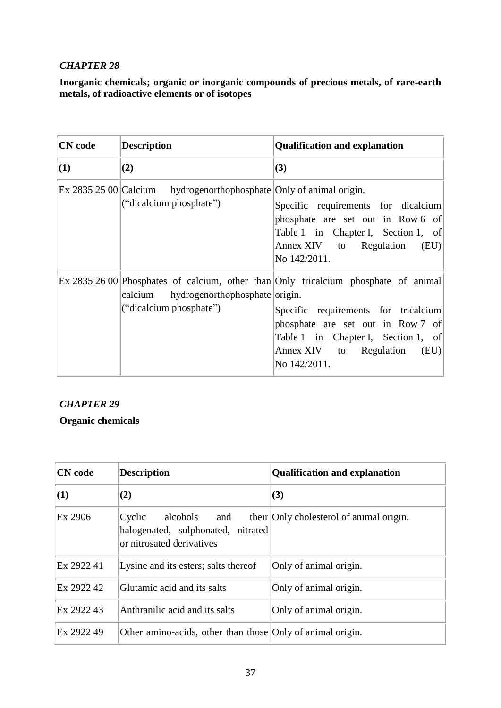# **Inorganic chemicals; organic or inorganic compounds of precious metals, of rare-earth metals, of radioactive elements or of isotopes**

| <b>CN</b> code        | <b>Description</b>                                                       | <b>Qualification and explanation</b>                                                                                                                                                                                                                       |
|-----------------------|--------------------------------------------------------------------------|------------------------------------------------------------------------------------------------------------------------------------------------------------------------------------------------------------------------------------------------------------|
| (1)                   | (2)                                                                      | (3)                                                                                                                                                                                                                                                        |
| Ex 2835 25 00 Calcium | hydrogenorthophosphate Only of animal origin.<br>("dicalcium phosphate") | Specific requirements for dicalcium<br>phosphate are set out in Row 6 of<br>Table 1 in Chapter I, Section 1, of<br>Annex XIV to Regulation<br>(EU)<br>No 142/2011.                                                                                         |
|                       | calcium hydrogenorthophosphate origin.<br>("dicalcium phosphate")        | Ex 2835 26 00 Phosphates of calcium, other than Only tricalcium phosphate of animal<br>Specific requirements for tricalcium<br>phosphate are set out in Row 7 of<br>Table 1 in Chapter I, Section 1, of<br>Annex XIV to Regulation<br>(EU)<br>No 142/2011. |

# *CHAPTER 29*

# **Organic chemicals**

| <b>CN</b> code | <b>Description</b>                                                                           | <b>Qualification and explanation</b>     |
|----------------|----------------------------------------------------------------------------------------------|------------------------------------------|
| (1)            | (2)                                                                                          | (3)                                      |
| Ex 2906        | Cyclic<br>alcohols<br>and<br>halogenated, sulphonated, nitrated<br>or nitrosated derivatives | their Only cholesterol of animal origin. |
| Ex 2922 41     | Lysine and its esters; salts thereof                                                         | Only of animal origin.                   |
| Ex 2922 42     | Glutamic acid and its salts                                                                  | Only of animal origin.                   |
| Ex 2922 43     | Anthranilic acid and its salts                                                               | Only of animal origin.                   |
| Ex 2922 49     | Other amino-acids, other than those Only of animal origin.                                   |                                          |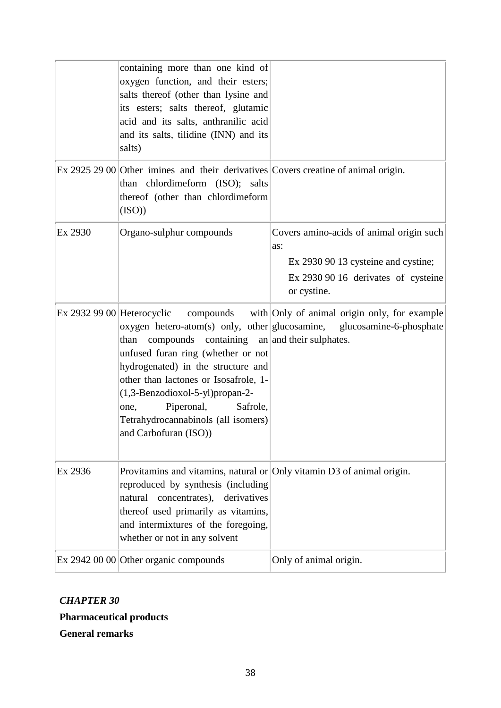|                            | containing more than one kind of<br>oxygen function, and their esters;<br>salts thereof (other than lysine and<br>its esters; salts thereof, glutamic<br>acid and its salts, anthranilic acid<br>and its salts, tilidine (INN) and its<br>salts)                                                                   |                                                                                                                                              |
|----------------------------|--------------------------------------------------------------------------------------------------------------------------------------------------------------------------------------------------------------------------------------------------------------------------------------------------------------------|----------------------------------------------------------------------------------------------------------------------------------------------|
|                            | Ex 2925 29 00 Other imines and their derivatives Covers creatine of animal origin.<br>than chlordimeform (ISO); salts<br>thereof (other than chlordimeform<br>(ISO))                                                                                                                                               |                                                                                                                                              |
| Ex 2930                    | Organo-sulphur compounds                                                                                                                                                                                                                                                                                           | Covers amino-acids of animal origin such<br>as:<br>Ex 2930 90 13 cysteine and cystine;<br>Ex 2930 90 16 derivates of cysteine<br>or cystine. |
| Ex 2932 99 00 Heterocyclic | compounds containing an $ $ and their sulphates.<br>than<br>unfused furan ring (whether or not<br>hydrogenated) in the structure and<br>other than lactones or Isosafrole, 1-<br>(1,3-Benzodioxol-5-yl)propan-2-<br>Piperonal,<br>Safrole,<br>one,<br>Tetrahydrocannabinols (all isomers)<br>and Carbofuran (ISO)) | compounds with Only of animal origin only, for example<br>oxygen hetero-atom(s) only, other glucosamine, glucosamine-6-phosphate             |
| Ex 2936                    | Provitamins and vitamins, natural or Only vitamin D3 of animal origin.<br>reproduced by synthesis (including<br>derivatives<br>concentrates),<br>natural<br>thereof used primarily as vitamins,<br>and intermixtures of the foregoing,<br>whether or not in any solvent                                            |                                                                                                                                              |
|                            | Ex $29420000$ Other organic compounds                                                                                                                                                                                                                                                                              | Only of animal origin.                                                                                                                       |

*CHAPTER 30* **Pharmaceutical products General remarks**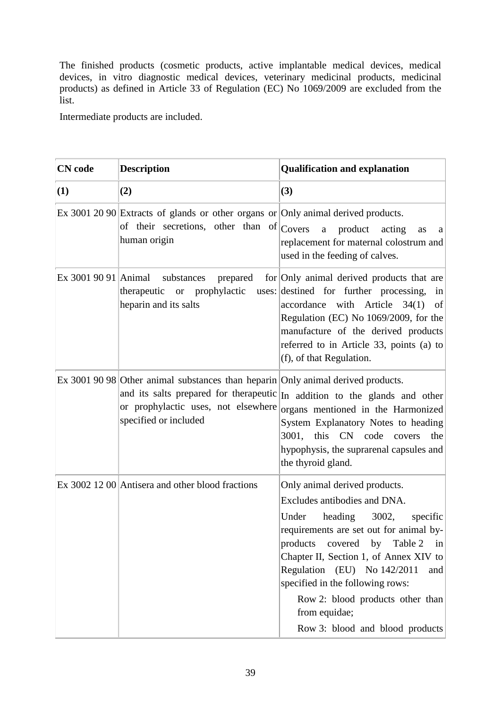The finished products (cosmetic products, active implantable medical devices, medical devices, in vitro diagnostic medical devices, veterinary medicinal products, medicinal products) as defined in Article 33 of Regulation (EC) No 1069/2009 are excluded from the list.

Intermediate products are included.

| <b>CN</b> code         | <b>Description</b>                                                                                                                                                                          | <b>Qualification and explanation</b>                                                                                                                                                                                                                                                                                                                                                                        |
|------------------------|---------------------------------------------------------------------------------------------------------------------------------------------------------------------------------------------|-------------------------------------------------------------------------------------------------------------------------------------------------------------------------------------------------------------------------------------------------------------------------------------------------------------------------------------------------------------------------------------------------------------|
| (1)                    | (2)                                                                                                                                                                                         | (3)                                                                                                                                                                                                                                                                                                                                                                                                         |
|                        | Ex 3001 20 90 Extracts of glands or other organs or Only animal derived products.<br>of their secretions, other than of Covers<br>human origin                                              | product<br>a<br>acting<br>as<br>a<br>replacement for maternal colostrum and<br>used in the feeding of calves.                                                                                                                                                                                                                                                                                               |
| Ex 3001 90 91   Animal | substances<br>prepared<br>prophylactic<br>therapeutic<br><sub>or</sub><br>heparin and its salts                                                                                             | for Only animal derived products that are<br>uses: destined for further processing,<br>in<br>accordance with Article $34(1)$<br>of<br>Regulation (EC) No 1069/2009, for the<br>manufacture of the derived products<br>referred to in Article 33, points (a) to<br>(f), of that Regulation.                                                                                                                  |
|                        | Ex 3001 90 98 Other animal substances than heparin Only animal derived products.<br>and its salts prepared for the rapeutic<br>or prophylactic uses, not elsewhere<br>specified or included | In addition to the glands and other<br>organs mentioned in the Harmonized<br>System Explanatory Notes to heading<br>3001, this CN code covers<br>the<br>hypophysis, the suprarenal capsules and<br>the thyroid gland.                                                                                                                                                                                       |
|                        | Ex 3002 12 00 Antisera and other blood fractions                                                                                                                                            | Only animal derived products.<br>Excludes antibodies and DNA.<br>Under<br>heading<br>3002,<br>specific<br>requirements are set out for animal by-<br>by<br>Table 2<br>products<br>covered<br>in<br>Chapter II, Section 1, of Annex XIV to<br>Regulation (EU) No 142/2011<br>and<br>specified in the following rows:<br>Row 2: blood products other than<br>from equidae;<br>Row 3: blood and blood products |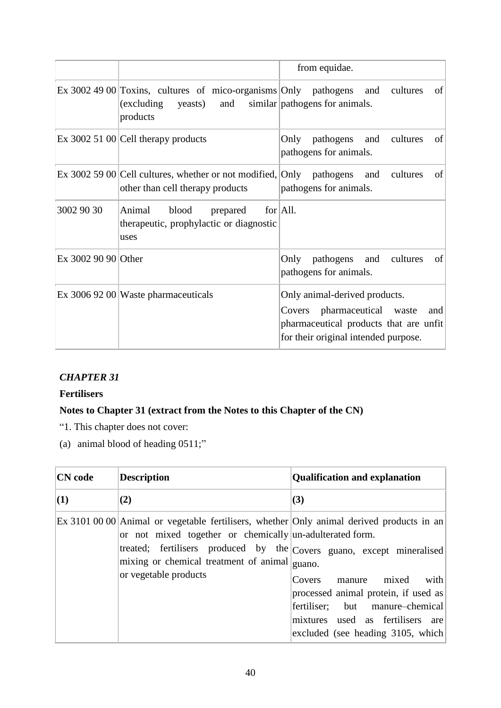|                     |                                                                                                                        | from equidae.                                                                                                                                            |
|---------------------|------------------------------------------------------------------------------------------------------------------------|----------------------------------------------------------------------------------------------------------------------------------------------------------|
|                     | Ex 3002 49 00 Toxins, cultures of mico-organisms Only pathogens and cultures<br>(excluding)<br>yeasts) and<br>products | of<br>similar pathogens for animals.                                                                                                                     |
|                     | Ex $30025100$ Cell therapy products                                                                                    | Only pathogens and<br>cultures<br>of<br>pathogens for animals.                                                                                           |
|                     | Ex $3002$ 59 00 Cell cultures, whether or not modified, Only pathogens and<br>other than cell therapy products         | cultures<br>of<br>pathogens for animals.                                                                                                                 |
| 3002 90 30          | Animal<br>blood prepared<br>therapeutic, prophylactic or diagnostic<br>uses                                            | for $\vert$ All.                                                                                                                                         |
| Ex 3002 90 90 Other |                                                                                                                        | Only pathogens<br>and<br>cultures<br>of<br>pathogens for animals.                                                                                        |
|                     | Ex $30069200$ Waste pharmaceuticals                                                                                    | Only animal-derived products.<br>pharmaceutical waste<br>Covers<br>and<br>pharmaceutical products that are unfit<br>for their original intended purpose. |

# **Fertilisers**

# **Notes to Chapter 31 (extract from the Notes to this Chapter of the CN)**

- "1. This chapter does not cover:
- (a) animal blood of heading 0511;"

| <b>CN</b> code  | <b>Description</b>                                                                                                                                                                                                                                                                                       | <b>Qualification and explanation</b>                                                                                                                                                        |
|-----------------|----------------------------------------------------------------------------------------------------------------------------------------------------------------------------------------------------------------------------------------------------------------------------------------------------------|---------------------------------------------------------------------------------------------------------------------------------------------------------------------------------------------|
| $\vert(1)\vert$ | (2)                                                                                                                                                                                                                                                                                                      | (3)                                                                                                                                                                                         |
|                 | Ex 3101 00 00 Animal or vegetable fertilisers, whether Only animal derived products in an<br>or not mixed together or chemically un-adulterated form.<br>treated; fertilisers produced by the Covers guano, except mineralised<br>mixing or chemical treatment of animal guano.<br>or vegetable products | mixed<br>with<br>Covers<br>manure<br>processed animal protein, if used as<br>but manure-chemical<br>fertiliser;<br>mixtures used as fertilisers<br>are<br>excluded (see heading 3105, which |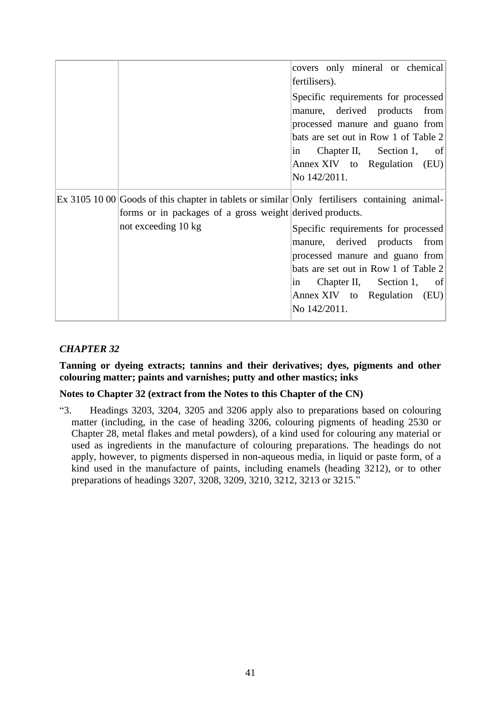|                                                                                                                                                                                  | covers only mineral or chemical<br>fertilisers).<br>Specific requirements for processed<br>manure, derived products from<br>processed manure and guano from<br>bats are set out in Row 1 of Table 2<br>Chapter II, Section 1, of<br>$\sin$<br>Annex XIV to Regulation (EU)<br>No 142/2011. |
|----------------------------------------------------------------------------------------------------------------------------------------------------------------------------------|--------------------------------------------------------------------------------------------------------------------------------------------------------------------------------------------------------------------------------------------------------------------------------------------|
| Ex $31051000$ Goods of this chapter in tablets or similar Only fertilisers containing animal-<br>forms or in packages of a gross weight derived products.<br>not exceeding 10 kg | Specific requirements for processed<br>manure, derived products from<br>processed manure and guano from<br>bats are set out in Row 1 of Table 2<br>Chapter II, Section 1,<br>$ $ of<br>in<br>Annex XIV to Regulation (EU)<br>No 142/2011.                                                  |

**Tanning or dyeing extracts; tannins and their derivatives; dyes, pigments and other colouring matter; paints and varnishes; putty and other mastics; inks**

#### **Notes to Chapter 32 (extract from the Notes to this Chapter of the CN)**

"3. Headings 3203, 3204, 3205 and 3206 apply also to preparations based on colouring matter (including, in the case of heading 3206, colouring pigments of heading 2530 or Chapter 28, metal flakes and metal powders), of a kind used for colouring any material or used as ingredients in the manufacture of colouring preparations. The headings do not apply, however, to pigments dispersed in non-aqueous media, in liquid or paste form, of a kind used in the manufacture of paints, including enamels (heading 3212), or to other preparations of headings 3207, 3208, 3209, 3210, 3212, 3213 or 3215."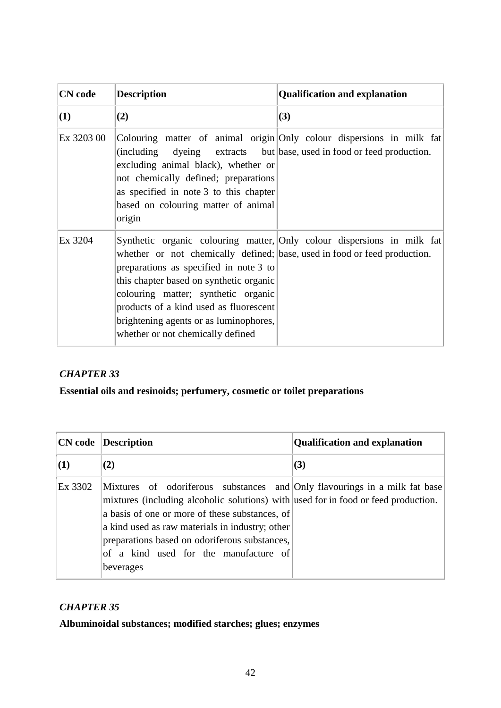| <b>CN</b> code | <b>Description</b>                                                                                                                                                                                                                                                                                                             | <b>Qualification and explanation</b>                                    |
|----------------|--------------------------------------------------------------------------------------------------------------------------------------------------------------------------------------------------------------------------------------------------------------------------------------------------------------------------------|-------------------------------------------------------------------------|
| (1)            | (2)                                                                                                                                                                                                                                                                                                                            | (3)                                                                     |
| Ex 3203 00     | (including dyeing extracts but base, used in food or feed production.<br>excluding animal black), whether or<br>not chemically defined; preparations<br>as specified in note 3 to this chapter<br>based on colouring matter of animal<br>origin                                                                                | Colouring matter of animal origin Only colour dispersions in milk fat   |
| Ex 3204        | whether or not chemically defined; base, used in food or feed production.<br>preparations as specified in note 3 to<br>this chapter based on synthetic organic<br>colouring matter; synthetic organic<br>products of a kind used as fluorescent<br>brightening agents or as luminophores,<br>whether or not chemically defined | Synthetic organic colouring matter, Only colour dispersions in milk fat |

**Essential oils and resinoids; perfumery, cosmetic or toilet preparations**

|                 | <b>CN</b> code Description                                                                                                                                                                                                                                                                                                                                                   | <b>Qualification and explanation</b> |
|-----------------|------------------------------------------------------------------------------------------------------------------------------------------------------------------------------------------------------------------------------------------------------------------------------------------------------------------------------------------------------------------------------|--------------------------------------|
| $\vert(1)\vert$ | (2)                                                                                                                                                                                                                                                                                                                                                                          | (3)                                  |
| Ex 3302         | Mixtures of odoriferous substances and Only flavourings in a milk fat base<br>mixtures (including alcoholic solutions) with used for in food or feed production.<br>a basis of one or more of these substances, of<br>a kind used as raw materials in industry; other<br>preparations based on odoriferous substances,<br>of a kind used for the manufacture of<br>beverages |                                      |

# *CHAPTER 35*

**Albuminoidal substances; modified starches; glues; enzymes**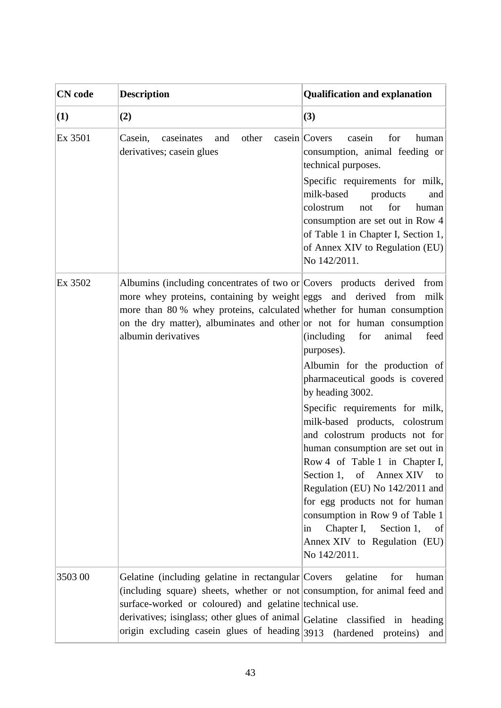| <b>CN</b> code | <b>Description</b>                                                                                                                                                                                                                                                                                                                               | <b>Qualification and explanation</b>                                                                                                                                                                                                                                                                                                                                                                                                                                                                                                                                  |
|----------------|--------------------------------------------------------------------------------------------------------------------------------------------------------------------------------------------------------------------------------------------------------------------------------------------------------------------------------------------------|-----------------------------------------------------------------------------------------------------------------------------------------------------------------------------------------------------------------------------------------------------------------------------------------------------------------------------------------------------------------------------------------------------------------------------------------------------------------------------------------------------------------------------------------------------------------------|
| (1)            | (2)                                                                                                                                                                                                                                                                                                                                              | (3)                                                                                                                                                                                                                                                                                                                                                                                                                                                                                                                                                                   |
| Ex 3501        | other<br>Casein,<br>caseinates<br>and<br>derivatives; casein glues                                                                                                                                                                                                                                                                               | casein Covers<br>for<br>casein<br>human<br>consumption, animal feeding or<br>technical purposes.<br>Specific requirements for milk,<br>milk-based<br>products<br>and<br>colostrum<br>for<br>not<br>human<br>consumption are set out in Row 4<br>of Table 1 in Chapter I, Section 1,<br>of Annex XIV to Regulation (EU)<br>No 142/2011.                                                                                                                                                                                                                                |
| Ex 3502        | Albumins (including concentrates of two or Covers products derived<br>more whey proteins, containing by weight eggs and derived from<br>more than 80 % whey proteins, calculated whether for human consumption<br>on the dry matter), albuminates and other or not for human consumption<br>albumin derivatives                                  | from<br>milk<br>(including)<br>for<br>animal<br>feed<br>purposes).<br>Albumin for the production of<br>pharmaceutical goods is covered<br>by heading 3002.<br>Specific requirements for milk,<br>milk-based products, colostrum<br>and colostrum products not for<br>human consumption are set out in<br>Row 4 of Table 1 in Chapter I,<br>Section 1, of Annex XIV to<br>Regulation (EU) No 142/2011 and<br>for egg products not for human<br>consumption in Row 9 of Table 1<br>Chapter I,<br>Section 1,<br>of<br>in<br>Annex XIV to Regulation (EU)<br>No 142/2011. |
| 3503 00        | Gelatine (including gelatine in rectangular Covers<br>(including square) sheets, whether or not consumption, for animal feed and<br>surface-worked or coloured) and gelatine technical use.<br>derivatives; isinglass; other glues of animal Gelatine classified in heading<br>origin excluding casein glues of heading 3913 (hardened proteins) | gelatine<br>for<br>human<br>and                                                                                                                                                                                                                                                                                                                                                                                                                                                                                                                                       |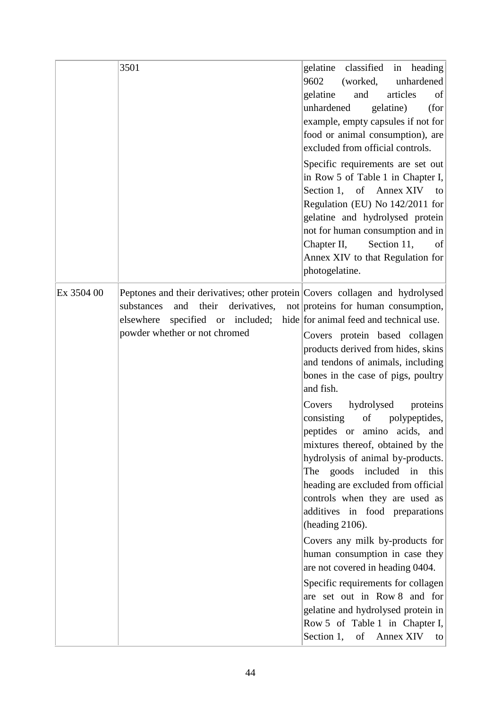|            | 3501                                                                                                                                                                                               | gelatine classified<br>in heading<br>9602<br>(worked,<br>unhardened<br>gelatine<br>and<br>articles<br>of<br>unhardened<br>gelatine)<br>(for<br>example, empty capsules if not for<br>food or animal consumption), are<br>excluded from official controls.<br>Specific requirements are set out<br>in Row 5 of Table 1 in Chapter I,<br>Section 1, of Annex XIV to<br>Regulation (EU) No 142/2011 for<br>gelatine and hydrolysed protein<br>not for human consumption and in<br>Section 11,<br>Chapter II,<br>of<br>Annex XIV to that Regulation for<br>photogelatine.                                                                                                                                                                                                                                                                                                                              |
|------------|----------------------------------------------------------------------------------------------------------------------------------------------------------------------------------------------------|----------------------------------------------------------------------------------------------------------------------------------------------------------------------------------------------------------------------------------------------------------------------------------------------------------------------------------------------------------------------------------------------------------------------------------------------------------------------------------------------------------------------------------------------------------------------------------------------------------------------------------------------------------------------------------------------------------------------------------------------------------------------------------------------------------------------------------------------------------------------------------------------------|
| Ex 3504 00 | Peptones and their derivatives; other protein Covers collagen and hydrolysed<br>derivatives,<br>and<br>their<br>substances<br>specified or included;<br>elsewhere<br>powder whether or not chromed | not proteins for human consumption,<br>hide for animal feed and technical use.<br>Covers protein based collagen<br>products derived from hides, skins<br>and tendons of animals, including<br>bones in the case of pigs, poultry<br>and fish.<br>hydrolysed<br>Covers<br>proteins<br>of<br>polypeptides,<br>consisting<br>peptides or amino acids, and<br>mixtures thereof, obtained by the<br>hydrolysis of animal by-products.<br>goods included<br>in<br>this<br>The<br>heading are excluded from official<br>controls when they are used as<br>additives in food preparations<br>(heading 2106).<br>Covers any milk by-products for<br>human consumption in case they<br>are not covered in heading 0404.<br>Specific requirements for collagen<br>are set out in Row 8 and for<br>gelatine and hydrolysed protein in<br>Row 5 of Table 1 in Chapter I,<br>Section 1,<br>of<br>Annex XIV<br>to |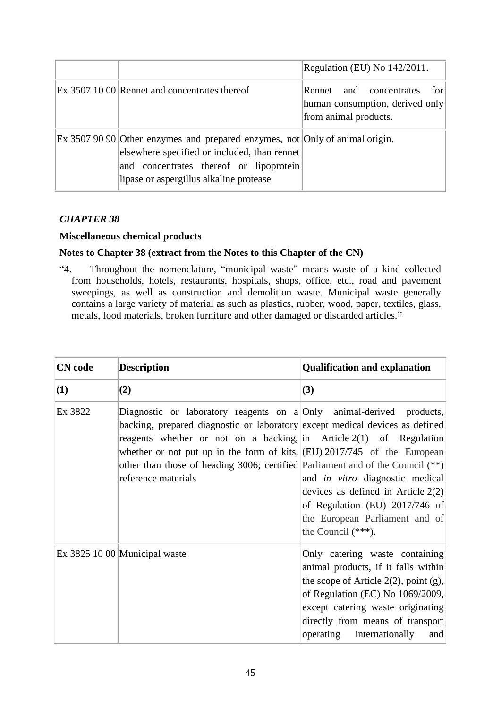|                                                                                                                                                                                                                    | Regulation (EU) No 142/2011.                                                               |
|--------------------------------------------------------------------------------------------------------------------------------------------------------------------------------------------------------------------|--------------------------------------------------------------------------------------------|
| Ex 3507 10 00 Rennet and concentrates thereof                                                                                                                                                                      | for<br>Rennet and concentrates<br>human consumption, derived only<br>from animal products. |
| Ex 3507 90 90 Other enzymes and prepared enzymes, not Only of animal origin.<br>elsewhere specified or included, than rennet<br>and concentrates thereof or lipoprotein<br>lipase or aspergillus alkaline protease |                                                                                            |

### **Miscellaneous chemical products**

# **Notes to Chapter 38 (extract from the Notes to this Chapter of the CN)**

"4. Throughout the nomenclature, "municipal waste" means waste of a kind collected from households, hotels, restaurants, hospitals, shops, office, etc., road and pavement sweepings, as well as construction and demolition waste. Municipal waste generally contains a large variety of material as such as plastics, rubber, wood, paper, textiles, glass, metals, food materials, broken furniture and other damaged or discarded articles."

| <b>CN</b> code | <b>Description</b>                                                                                                                                                                                                                                                                                                                                                                                                      | <b>Qualification and explanation</b>                                                                                                                                                                                                                               |
|----------------|-------------------------------------------------------------------------------------------------------------------------------------------------------------------------------------------------------------------------------------------------------------------------------------------------------------------------------------------------------------------------------------------------------------------------|--------------------------------------------------------------------------------------------------------------------------------------------------------------------------------------------------------------------------------------------------------------------|
| (1)            | (2)                                                                                                                                                                                                                                                                                                                                                                                                                     | (3)                                                                                                                                                                                                                                                                |
| Ex 3822        | Diagnostic or laboratory reagents on $a$ Only animal-derived products,<br>backing, prepared diagnostic or laboratory except medical devices as defined<br>reagents whether or not on a backing, in Article $2(1)$ of Regulation<br>whether or not put up in the form of kits, $ (EU) 2017/745$ of the European<br>other than those of heading 3006; certified Parliament and of the Council (**)<br>reference materials | and <i>in vitro</i> diagnostic medical<br>devices as defined in Article $2(2)$<br>of Regulation (EU) 2017/746 of<br>the European Parliament and of<br>the Council $(***).$                                                                                         |
|                | Ex $38251000$ Municipal waste                                                                                                                                                                                                                                                                                                                                                                                           | Only catering waste containing<br>animal products, if it falls within<br>the scope of Article $2(2)$ , point (g),<br>of Regulation (EC) No 1069/2009,<br>except catering waste originating<br>directly from means of transport<br>operating internationally<br>and |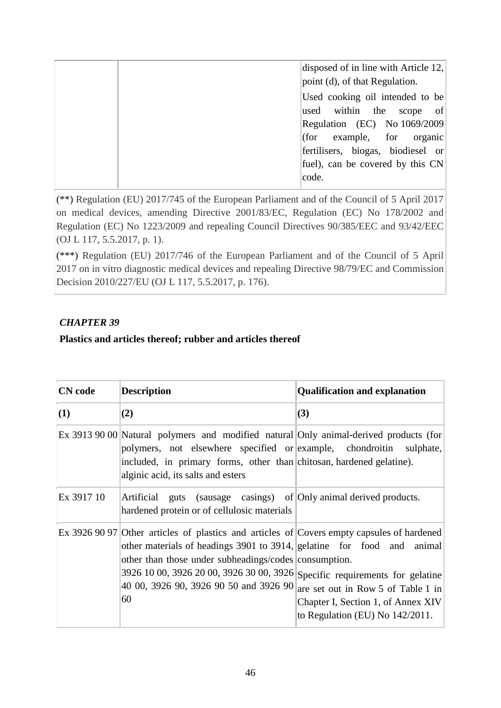| disposed of in line with Article 12,<br>point (d), of that Regulation.                                          |
|-----------------------------------------------------------------------------------------------------------------|
| Used cooking oil intended to be<br>used within the<br>- of<br>scope<br>Regulation (EC) No 1069/2009             |
| $ $ (for example, for organic<br>fertilisers, biogas, biodiesel or<br>fuel), can be covered by this CN<br>code. |

(\*\*) Regulation (EU) 2017/745 of the European Parliament and of the Council of 5 April 2017 on medical devices, amending Directive 2001/83/EC, Regulation (EC) No 178/2002 and Regulation (EC) No 1223/2009 and repealing Council Directives 90/385/EEC and 93/42/EEC (OJ L 117, 5.5.2017, p. 1).

(\*\*\*) Regulation (EU) 2017/746 of the European Parliament and of the Council of 5 April 2017 on in vitro diagnostic medical devices and repealing Directive 98/79/EC and Commission Decision 2010/227/EU (OJ L 117, 5.5.2017, p. 176).

# *CHAPTER 39*

# **Plastics and articles thereof; rubber and articles thereof**

| <b>CN</b> code | <b>Description</b>                                                                                                                                                                                                                                                                                                        | <b>Qualification and explanation</b>                                                                                                                 |
|----------------|---------------------------------------------------------------------------------------------------------------------------------------------------------------------------------------------------------------------------------------------------------------------------------------------------------------------------|------------------------------------------------------------------------------------------------------------------------------------------------------|
| (1)            | (2)                                                                                                                                                                                                                                                                                                                       | (3)                                                                                                                                                  |
|                | Ex 3913 90 00 Natural polymers and modified natural Only animal-derived products (for<br>polymers, not elsewhere specified or example, chondroitin sulphate,<br>included, in primary forms, other than chitosan, hardened gelatine).<br>alginic acid, its salts and esters                                                |                                                                                                                                                      |
| Ex 3917 10     | Artificial guts (sausage casings) of Only animal derived products.<br>hardened protein or of cellulosic materials                                                                                                                                                                                                         |                                                                                                                                                      |
|                | Ex 3926 90 97 Other articles of plastics and articles of Covers empty capsules of hardened<br>other materials of headings 3901 to 3914, gelatine for food and animal<br>other than those under subheadings/codes consumption.<br>3926 10 00, 3926 20 00, 3926 30 00, 3926<br>40 00, 3926 90, 3926 90 50 and 3926 90<br>60 | Specific requirements for gelatine<br>are set out in Row 5 of Table 1 in<br>Chapter I, Section 1, of Annex XIV<br>to Regulation (EU) No $142/2011$ . |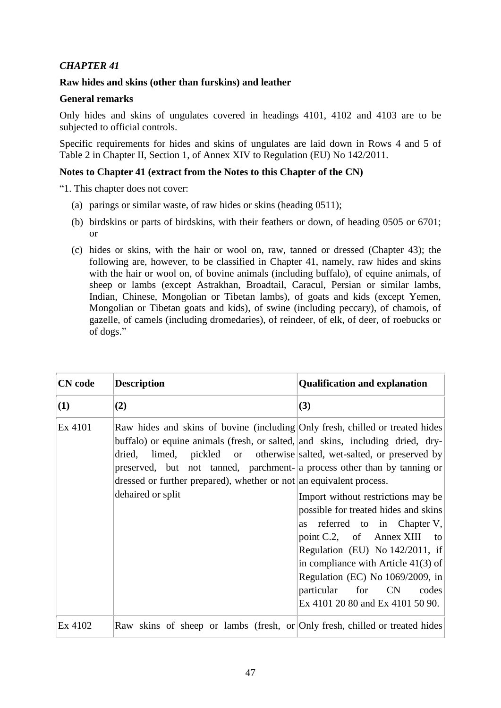### **Raw hides and skins (other than furskins) and leather**

### **General remarks**

Only hides and skins of ungulates covered in headings 4101, 4102 and 4103 are to be subjected to official controls.

Specific requirements for hides and skins of ungulates are laid down in Rows 4 and 5 of Table 2 in Chapter II, Section 1, of Annex XIV to Regulation (EU) No 142/2011.

### **Notes to Chapter 41 (extract from the Notes to this Chapter of the CN)**

"1. This chapter does not cover:

- (a) parings or similar waste, of raw hides or skins (heading 0511);
- (b) birdskins or parts of birdskins, with their feathers or down, of heading 0505 or 6701; or
- (c) hides or skins, with the hair or wool on, raw, tanned or dressed (Chapter 43); the following are, however, to be classified in Chapter 41, namely, raw hides and skins with the hair or wool on, of bovine animals (including buffalo), of equine animals, of sheep or lambs (except Astrakhan, Broadtail, Caracul, Persian or similar lambs, Indian, Chinese, Mongolian or Tibetan lambs), of goats and kids (except Yemen, Mongolian or Tibetan goats and kids), of swine (including peccary), of chamois, of gazelle, of camels (including dromedaries), of reindeer, of elk, of deer, of roebucks or of dogs."

| <b>CN</b> code | <b>Description</b>                                                                                                                                                                                                                                                                                                                                                                                                 | <b>Qualification and explanation</b>                                                                                                                                                                                                                                                                                                 |
|----------------|--------------------------------------------------------------------------------------------------------------------------------------------------------------------------------------------------------------------------------------------------------------------------------------------------------------------------------------------------------------------------------------------------------------------|--------------------------------------------------------------------------------------------------------------------------------------------------------------------------------------------------------------------------------------------------------------------------------------------------------------------------------------|
| (1)            | (2)                                                                                                                                                                                                                                                                                                                                                                                                                | (3)                                                                                                                                                                                                                                                                                                                                  |
| Ex 4101        | Raw hides and skins of bovine (including Only fresh, chilled or treated hides)<br>buffalo) or equine animals (fresh, or salted, and skins, including dried, dry-<br>dried, limed, pickled or otherwise salted, wet-salted, or preserved by<br>preserved, but not tanned, parchment- a process other than by tanning or<br>dressed or further prepared), whether or not an equivalent process.<br>dehaired or split | Import without restrictions may be<br>possible for treated hides and skins<br>as referred to in Chapter V,<br>point C.2, of Annex XIII to<br>Regulation (EU) No $142/2011$ , if<br>in compliance with Article $41(3)$ of<br>Regulation (EC) No $1069/2009$ , in<br>CN<br>particular for<br>codes<br>Ex 4101 20 80 and Ex 4101 50 90. |
| Ex 4102        | Raw skins of sheep or lambs (fresh, or Only fresh, chilled or treated hides)                                                                                                                                                                                                                                                                                                                                       |                                                                                                                                                                                                                                                                                                                                      |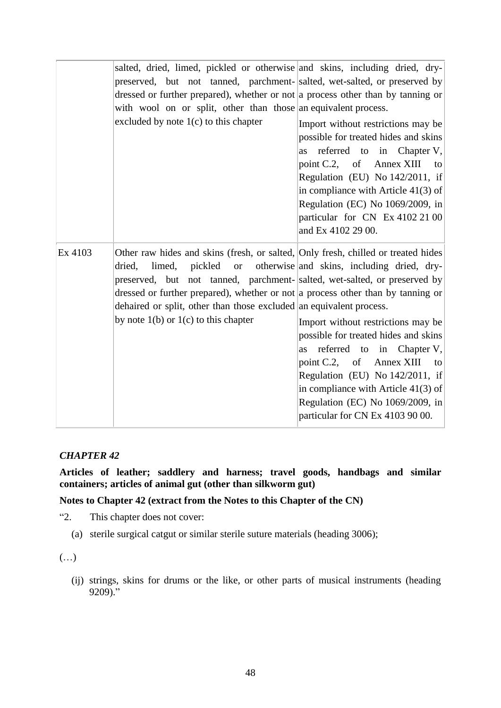|         | salted, dried, limed, pickled or otherwise and skins, including dried, dry-<br>preserved, but not tanned, parchment-salted, wet-salted, or preserved by<br>dressed or further prepared), whether or not a process other than by tanning or<br>with wool on or split, other than those an equivalent process.<br>excluded by note $1(c)$ to this chapter                                                              | Import without restrictions may be<br>possible for treated hides and skins<br>referred to in Chapter V,<br>as<br>point C.2, of Annex XIII<br>to<br>Regulation (EU) No 142/2011, if<br>in compliance with Article $41(3)$ of<br>Regulation (EC) No 1069/2009, in<br>particular for CN Ex 4102 21 00<br>and Ex 4102 29 00.                                 |
|---------|----------------------------------------------------------------------------------------------------------------------------------------------------------------------------------------------------------------------------------------------------------------------------------------------------------------------------------------------------------------------------------------------------------------------|----------------------------------------------------------------------------------------------------------------------------------------------------------------------------------------------------------------------------------------------------------------------------------------------------------------------------------------------------------|
| Ex 4103 | Other raw hides and skins (fresh, or salted, Only fresh, chilled or treated hides)<br>dried,<br>limed,<br>pickled<br><sub>or</sub><br>preserved, but not tanned, parchment-salted, wet-salted, or preserved by<br>dressed or further prepared), whether or not a process other than by tanning or<br>dehaired or split, other than those excluded an equivalent process.<br>by note $1(b)$ or $1(c)$ to this chapter | otherwise and skins, including dried, dry-<br>Import without restrictions may be<br>possible for treated hides and skins<br>referred to in Chapter V,<br><b>as</b><br>point C.2, of Annex XIII to<br>Regulation (EU) No 142/2011, if<br>in compliance with Article $41(3)$ of<br>Regulation (EC) No $1069/2009$ , in<br>particular for CN Ex 4103 90 00. |

**Articles of leather; saddlery and harness; travel goods, handbags and similar containers; articles of animal gut (other than silkworm gut)**

#### **Notes to Chapter 42 (extract from the Notes to this Chapter of the CN)**

- "2. This chapter does not cover:
	- (a) sterile surgical catgut or similar sterile suture materials (heading 3006);

(…)

(ij) strings, skins for drums or the like, or other parts of musical instruments (heading 9209)."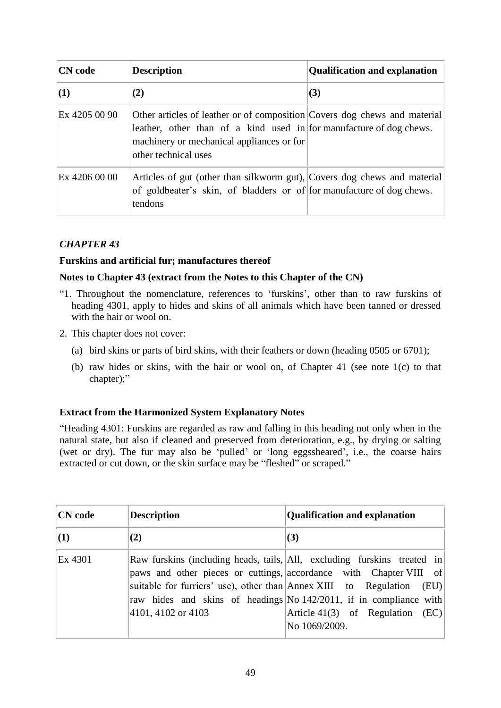| <b>CN</b> code  | <b>Description</b>                                                                                                                                                                                                    | <b>Qualification and explanation</b> |
|-----------------|-----------------------------------------------------------------------------------------------------------------------------------------------------------------------------------------------------------------------|--------------------------------------|
| $\vert(1)\vert$ | (2)                                                                                                                                                                                                                   | (3)                                  |
| Ex 4205 00 90   | Other articles of leather or of composition Covers dog chews and material<br>leather, other than of a kind used in for manufacture of dog chews.<br>machinery or mechanical appliances or for<br>other technical uses |                                      |
| Ex 4206 00 00   | Articles of gut (other than silkworm gut), Covers dog chews and material<br>of goldbeater's skin, of bladders or of for manufacture of dog chews.<br>tendons                                                          |                                      |

### **Furskins and artificial fur; manufactures thereof**

#### **Notes to Chapter 43 (extract from the Notes to this Chapter of the CN)**

- "1. Throughout the nomenclature, references to 'furskins', other than to raw furskins of heading 4301, apply to hides and skins of all animals which have been tanned or dressed with the hair or wool on.
- 2. This chapter does not cover:
	- (a) bird skins or parts of bird skins, with their feathers or down (heading 0505 or 6701);
	- (b) raw hides or skins, with the hair or wool on, of Chapter 41 (see note  $1(c)$  to that chapter);"

### **Extract from the Harmonized System Explanatory Notes**

"Heading 4301: Furskins are regarded as raw and falling in this heading not only when in the natural state, but also if cleaned and preserved from deterioration, e.g., by drying or salting (wet or dry). The fur may also be 'pulled' or 'long eggssheared', i.e., the coarse hairs extracted or cut down, or the skin surface may be "fleshed" or scraped."

| <b>CN</b> code  | <b>Description</b> | <b>Qualification and explanation</b>                                                                                                                                                                                                                                                                                                                 |
|-----------------|--------------------|------------------------------------------------------------------------------------------------------------------------------------------------------------------------------------------------------------------------------------------------------------------------------------------------------------------------------------------------------|
| $\vert(1)\vert$ | (2)                | (3)                                                                                                                                                                                                                                                                                                                                                  |
| Ex 4301         | 4101, 4102 or 4103 | Raw furskins (including heads, tails, All, excluding furskins treated in<br>paws and other pieces or cuttings, accordance with Chapter VIII of<br>suitable for furriers' use), other than Annex XIII to Regulation (EU)<br>raw hides and skins of headings No 142/2011, if in compliance with<br>Article 41(3) of Regulation $(EC)$<br>No 1069/2009. |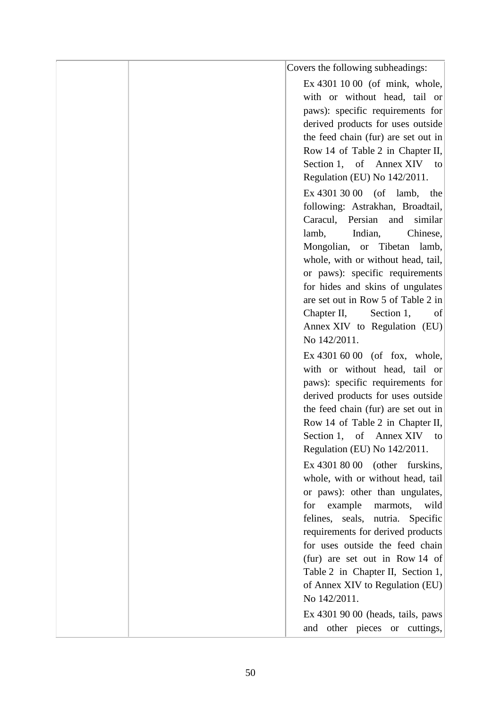|  | Covers the following subheadings:     |
|--|---------------------------------------|
|  | Ex 4301 10 00 (of mink, whole,        |
|  | with or without head, tail or         |
|  | paws): specific requirements for      |
|  | derived products for uses outside     |
|  | the feed chain (fur) are set out in   |
|  | Row 14 of Table 2 in Chapter II,      |
|  | Section 1, of Annex XIV to            |
|  | Regulation (EU) No 142/2011.          |
|  | Ex 4301 30 00 (of lamb, the           |
|  | following: Astrakhan, Broadtail,      |
|  | Caracul,<br>Persian<br>similar<br>and |
|  | lamb, Indian,<br>Chinese,             |
|  | Mongolian, or Tibetan lamb,           |
|  | whole, with or without head, tail,    |
|  | or paws): specific requirements       |
|  | for hides and skins of ungulates      |
|  | are set out in Row 5 of Table 2 in    |
|  | Chapter II,<br>Section 1,<br>of       |
|  | Annex XIV to Regulation (EU)          |
|  | No 142/2011.                          |
|  | Ex 4301 60 00 (of fox, whole,         |
|  | with or without head, tail or         |
|  | paws): specific requirements for      |
|  | derived products for uses outside     |
|  | the feed chain (fur) are set out in   |
|  | Row 14 of Table 2 in Chapter II,      |
|  | Section 1, of Annex XIV to            |
|  | Regulation (EU) No 142/2011.          |
|  | Ex $43018000$ (other furskins,        |
|  | whole, with or without head, tail     |
|  | or paws): other than ungulates,       |
|  | for example<br>wild<br>marmots,       |
|  | felines, seals, nutria. Specific      |
|  | requirements for derived products     |
|  | for uses outside the feed chain       |
|  | (fur) are set out in Row 14 of        |
|  | Table 2 in Chapter II, Section 1,     |
|  | of Annex XIV to Regulation (EU)       |
|  | No 142/2011.                          |
|  | Ex $4301$ 90 00 (heads, tails, paws   |
|  | and other pieces or cuttings,         |
|  |                                       |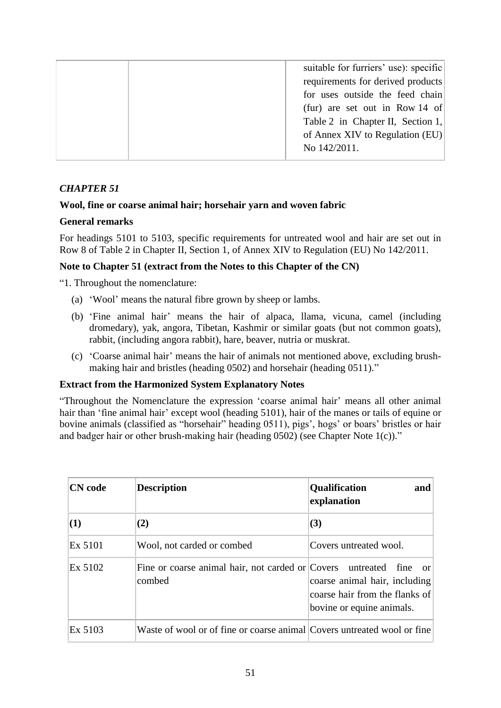|  | suitable for furriers' use): specific |
|--|---------------------------------------|
|  | requirements for derived products     |
|  | for uses outside the feed chain       |
|  | (fur) are set out in Row 14 of        |
|  | Table 2 in Chapter II, Section 1,     |
|  | of Annex XIV to Regulation (EU)       |
|  | No 142/2011.                          |

### **Wool, fine or coarse animal hair; horsehair yarn and woven fabric**

#### **General remarks**

For headings 5101 to 5103, specific requirements for untreated wool and hair are set out in Row 8 of Table 2 in Chapter II, Section 1, of Annex XIV to Regulation (EU) No 142/2011.

### **Note to Chapter 51 (extract from the Notes to this Chapter of the CN)**

"1. Throughout the nomenclature:

- (a) 'Wool' means the natural fibre grown by sheep or lambs.
- (b) 'Fine animal hair' means the hair of alpaca, llama, vicuna, camel (including dromedary), yak, angora, Tibetan, Kashmir or similar goats (but not common goats), rabbit, (including angora rabbit), hare, beaver, nutria or muskrat.
- (c) 'Coarse animal hair' means the hair of animals not mentioned above, excluding brushmaking hair and bristles (heading 0502) and horsehair (heading 0511)."

### **Extract from the Harmonized System Explanatory Notes**

"Throughout the Nomenclature the expression 'coarse animal hair' means all other animal hair than 'fine animal hair' except wool (heading 5101), hair of the manes or tails of equine or bovine animals (classified as "horsehair" heading 0511), pigs', hogs' or boars' bristles or hair and badger hair or other brush-making hair (heading 0502) (see Chapter Note 1(c))."

| <b>CN</b> code | <b>Description</b>                                                           | <b>Qualification</b><br>and<br>explanation                                                   |
|----------------|------------------------------------------------------------------------------|----------------------------------------------------------------------------------------------|
| (1)            | (2)                                                                          | (3)                                                                                          |
| Ex 5101        | Wool, not carded or combed                                                   | Covers untreated wool.                                                                       |
| Ex 5102        | Fine or coarse animal hair, not carded or Covers untreated fine or<br>combed | coarse animal hair, including<br>coarse hair from the flanks of<br>bovine or equine animals. |
| Ex 5103        | Waste of wool or of fine or coarse animal Covers untreated wool or fine      |                                                                                              |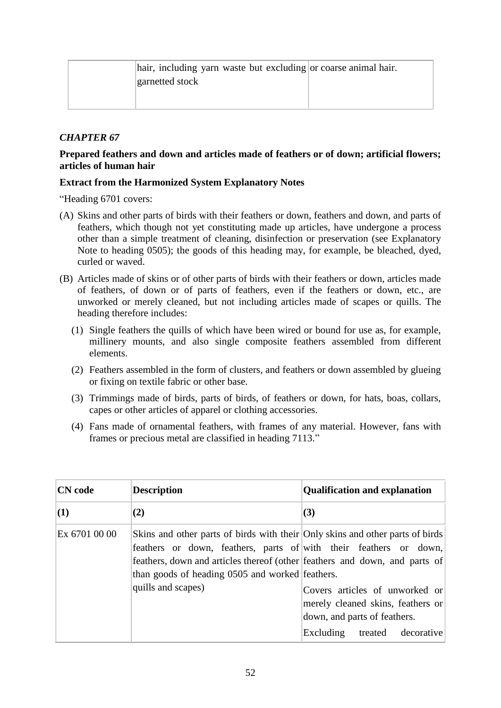### **Prepared feathers and down and articles made of feathers or of down; artificial flowers; articles of human hair**

### **Extract from the Harmonized System Explanatory Notes**

"Heading 6701 covers:

- (A) Skins and other parts of birds with their feathers or down, feathers and down, and parts of feathers, which though not yet constituting made up articles, have undergone a process other than a simple treatment of cleaning, disinfection or preservation (see Explanatory Note to heading 0505); the goods of this heading may, for example, be bleached, dyed, curled or waved.
- (B) Articles made of skins or of other parts of birds with their feathers or down, articles made of feathers, of down or of parts of feathers, even if the feathers or down, etc., are unworked or merely cleaned, but not including articles made of scapes or quills. The heading therefore includes:
	- (1) Single feathers the quills of which have been wired or bound for use as, for example, millinery mounts, and also single composite feathers assembled from different elements.
	- (2) Feathers assembled in the form of clusters, and feathers or down assembled by glueing or fixing on textile fabric or other base.
	- (3) Trimmings made of birds, parts of birds, of feathers or down, for hats, boas, collars, capes or other articles of apparel or clothing accessories.
	- (4) Fans made of ornamental feathers, with frames of any material. However, fans with frames or precious metal are classified in heading 7113."

| <b>CN</b> code | <b>Description</b>                                                                                                                                                                                                                                                                                        | <b>Qualification and explanation</b>                                                                                                   |
|----------------|-----------------------------------------------------------------------------------------------------------------------------------------------------------------------------------------------------------------------------------------------------------------------------------------------------------|----------------------------------------------------------------------------------------------------------------------------------------|
| $\mathbf{(1)}$ | (2)                                                                                                                                                                                                                                                                                                       | (3)                                                                                                                                    |
| Ex 6701 00 00  | Skins and other parts of birds with their Only skins and other parts of birds<br>feathers or down, feathers, parts of with their feathers or down,<br>feathers, down and articles thereof (other feathers and down, and parts of<br>than goods of heading 0505 and worked feathers.<br>quills and scapes) | Covers articles of unworked or<br>merely cleaned skins, feathers or<br>down, and parts of feathers.<br>Excluding<br>treated decorative |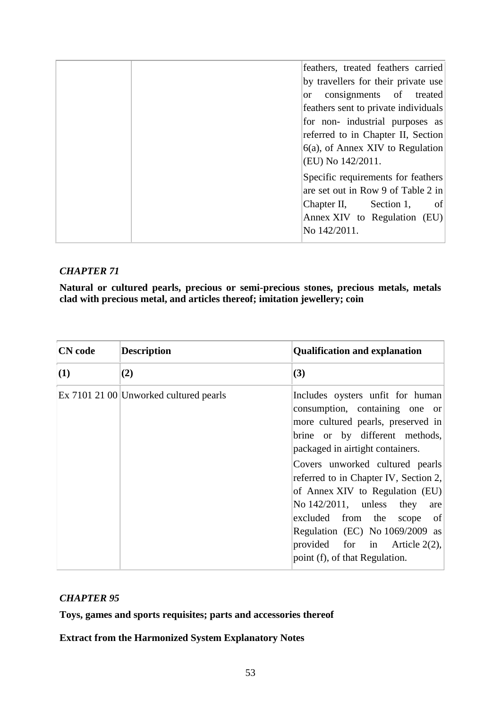| feathers, treated feathers carried   |
|--------------------------------------|
| by travellers for their private use  |
| or consignments of treated           |
| feathers sent to private individuals |
| for non- industrial purposes as      |
| referred to in Chapter II, Section   |
| $6(a)$ , of Annex XIV to Regulation  |
| (EU) No 142/2011.                    |
| Specific requirements for feathers   |
| are set out in Row 9 of Table 2 in   |
| Chapter II, Section 1,<br>of         |
| Annex XIV to Regulation (EU)         |
| No 142/2011.                         |
|                                      |

**Natural or cultured pearls, precious or semi-precious stones, precious metals, metals clad with precious metal, and articles thereof; imitation jewellery; coin**

| <b>CN</b> code | <b>Description</b>                     | <b>Qualification and explanation</b>                                                                                                                                                                                                                                                                                                                                                                                                                                             |
|----------------|----------------------------------------|----------------------------------------------------------------------------------------------------------------------------------------------------------------------------------------------------------------------------------------------------------------------------------------------------------------------------------------------------------------------------------------------------------------------------------------------------------------------------------|
| (1)            | (2)                                    | (3)                                                                                                                                                                                                                                                                                                                                                                                                                                                                              |
|                | Ex 7101 21 00 Unworked cultured pearls | Includes oysters unfit for human<br>consumption, containing one or<br>more cultured pearls, preserved in<br>brine or by different methods,<br>packaged in airtight containers.<br>Covers unworked cultured pearls<br>referred to in Chapter IV, Section 2,<br>of Annex XIV to Regulation (EU)<br>No $142/2011$ , unless they<br>are<br>excluded from the<br>of<br>scope<br>Regulation (EC) No 1069/2009 as<br>provided for in Article $2(2)$ ,<br>point (f), of that Regulation. |

### *CHAPTER 95*

**Toys, games and sports requisites; parts and accessories thereof**

### **Extract from the Harmonized System Explanatory Notes**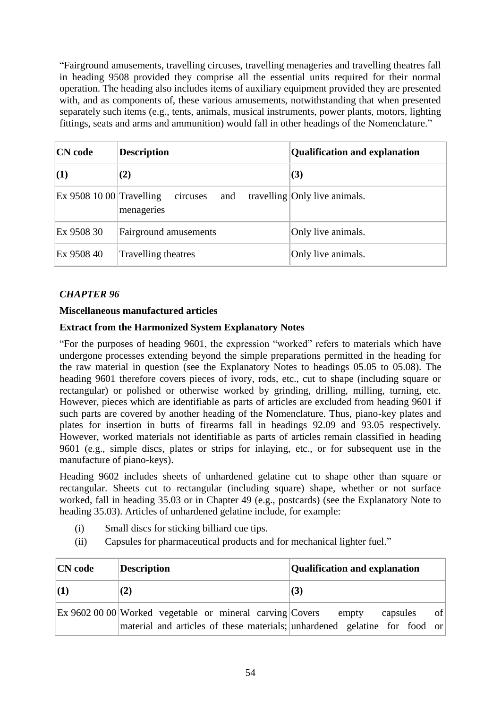"Fairground amusements, travelling circuses, travelling menageries and travelling theatres fall in heading 9508 provided they comprise all the essential units required for their normal operation. The heading also includes items of auxiliary equipment provided they are presented with, and as components of, these various amusements, notwithstanding that when presented separately such items (e.g., tents, animals, musical instruments, power plants, motors, lighting fittings, seats and arms and ammunition) would fall in other headings of the Nomenclature."

| <b>CN</b> code                   | <b>Description</b>            | <b>Qualification and explanation</b> |
|----------------------------------|-------------------------------|--------------------------------------|
| $\vert(1)$                       | (2)                           | (3)                                  |
| $\vert$ Ex 9508 10 00 Travelling | and<br>circuses<br>menageries | travelling Only live animals.        |
| Ex 9508 30                       | Fairground amusements         | Only live animals.                   |
| Ex 9508 40                       | Travelling theatres           | Only live animals.                   |

# *CHAPTER 96*

### **Miscellaneous manufactured articles**

### **Extract from the Harmonized System Explanatory Notes**

"For the purposes of heading 9601, the expression "worked" refers to materials which have undergone processes extending beyond the simple preparations permitted in the heading for the raw material in question (see the Explanatory Notes to headings 05.05 to 05.08). The heading 9601 therefore covers pieces of ivory, rods, etc., cut to shape (including square or rectangular) or polished or otherwise worked by grinding, drilling, milling, turning, etc. However, pieces which are identifiable as parts of articles are excluded from heading 9601 if such parts are covered by another heading of the Nomenclature. Thus, piano-key plates and plates for insertion in butts of firearms fall in headings 92.09 and 93.05 respectively. However, worked materials not identifiable as parts of articles remain classified in heading 9601 (e.g., simple discs, plates or strips for inlaying, etc., or for subsequent use in the manufacture of piano-keys).

Heading 9602 includes sheets of unhardened gelatine cut to shape other than square or rectangular. Sheets cut to rectangular (including square) shape, whether or not surface worked, fall in heading 35.03 or in Chapter 49 (e.g., postcards) (see the Explanatory Note to heading 35.03). Articles of unhardened gelatine include, for example:

- (i) Small discs for sticking billiard cue tips.
- (ii) Capsules for pharmaceutical products and for mechanical lighter fuel.<sup>7</sup>

| $ CN \text{ code }$ | <b>Description</b>                                                                                                                                | <b>Qualification and explanation</b> |
|---------------------|---------------------------------------------------------------------------------------------------------------------------------------------------|--------------------------------------|
| $\mathbf{(1)}$      |                                                                                                                                                   | (3)                                  |
|                     | $\mathbb{E}$ x 9602 00 00 Worked vegetable or mineral carving Covers<br>material and articles of these materials; unhardened gelatine for food or | of<br>capsules<br>empty              |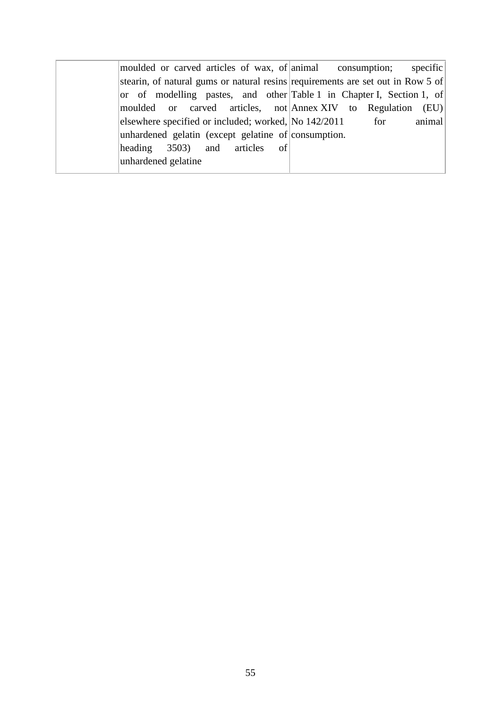| moulded or carved articles of wax, of animal consumption;                       | specific |
|---------------------------------------------------------------------------------|----------|
| stearin, of natural gums or natural resins requirements are set out in Row 5 of |          |
| or of modelling pastes, and other Table 1 in Chapter I, Section 1, of           |          |
| moulded or carved articles, not Annex XIV to Regulation (EU)                    |          |
| elsewhere specified or included; worked, $\vert$ No 142/2011 for                | animal   |
| unhardened gelatin (except gelatine of consumption.                             |          |
| $\left  \text{heading} \right $ 3503) and articles of                           |          |
| unhardened gelatine                                                             |          |
|                                                                                 |          |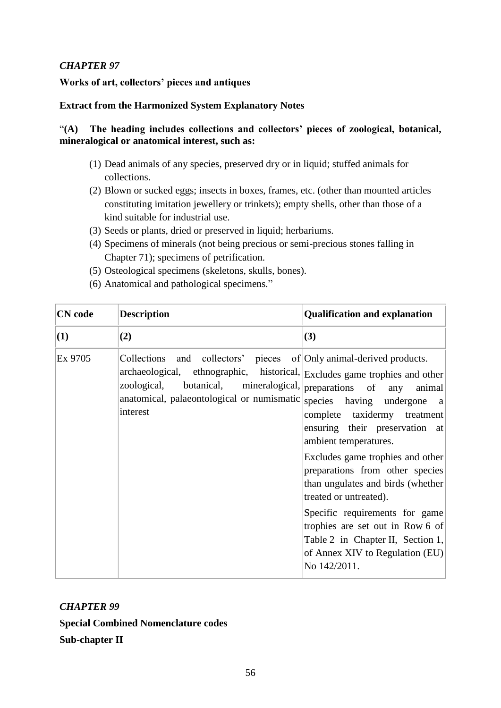### **Works of art, collectors' pieces and antiques**

### **Extract from the Harmonized System Explanatory Notes**

### "**(A) The heading includes collections and collectors' pieces of zoological, botanical, mineralogical or anatomical interest, such as:**

- (1) Dead animals of any species, preserved dry or in liquid; stuffed animals for collections.
- (2) Blown or sucked eggs; insects in boxes, frames, etc. (other than mounted articles constituting imitation jewellery or trinkets); empty shells, other than those of a kind suitable for industrial use.
- (3) Seeds or plants, dried or preserved in liquid; herbariums.
- (4) Specimens of minerals (not being precious or semi-precious stones falling in Chapter 71); specimens of petrification.
- (5) Osteological specimens (skeletons, skulls, bones).
- (6) Anatomical and pathological specimens."

| <b>CN</b> code | <b>Description</b>                                                                                                                                                                                                                                                                                       | <b>Qualification and explanation</b>                                                                                                                                                                                                                                                                                                                                                                                  |
|----------------|----------------------------------------------------------------------------------------------------------------------------------------------------------------------------------------------------------------------------------------------------------------------------------------------------------|-----------------------------------------------------------------------------------------------------------------------------------------------------------------------------------------------------------------------------------------------------------------------------------------------------------------------------------------------------------------------------------------------------------------------|
| (1)            | (2)                                                                                                                                                                                                                                                                                                      | (3)                                                                                                                                                                                                                                                                                                                                                                                                                   |
| Ex 9705        | Collections and collectors' pieces of Only animal-derived products.<br>archaeological, ethnographic, historical, Excludes game trophies and other<br>botanical, mineralogical, $ $ preparations of any<br>zoological,<br>anatomical, palaeontological or numismatic species having undergone<br>interest | animal<br><sub>a</sub><br>complete taxidermy treatment<br>ensuring their preservation at<br>ambient temperatures.<br>Excludes game trophies and other<br>preparations from other species<br>than ungulates and birds (whether<br>treated or untreated).<br>Specific requirements for game<br>trophies are set out in Row 6 of<br>Table 2 in Chapter II, Section 1,<br>of Annex XIV to Regulation (EU)<br>No 142/2011. |

*CHAPTER 99*

**Special Combined Nomenclature codes**

**Sub-chapter II**